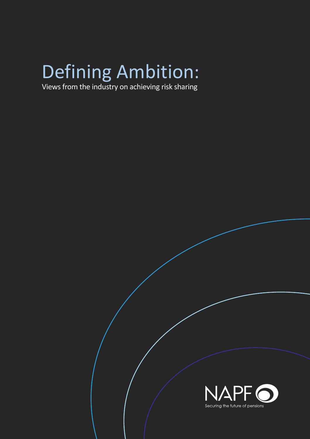## Defining Ambition:

Views from the industry on achieving risk sharing

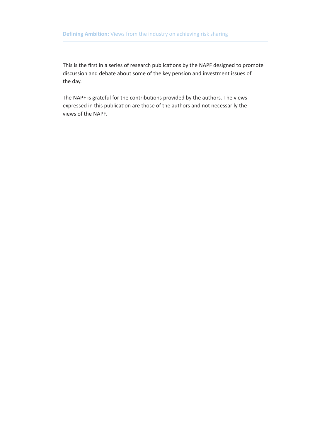This is the first in a series of research publications by the NAPF designed to promote discussion and debate about some of the key pension and investment issues of the day.

The NAPF is grateful for the contributions provided by the authors. The views expressed in this publication are those of the authors and not necessarily the views of the NAPF.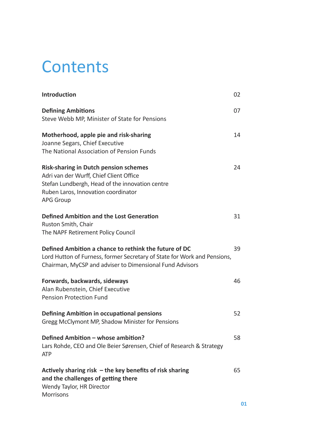### **Contents**

| <b>Introduction</b>                                                                                                                                                                                   | 02 |
|-------------------------------------------------------------------------------------------------------------------------------------------------------------------------------------------------------|----|
| <b>Defining Ambitions</b><br>Steve Webb MP, Minister of State for Pensions                                                                                                                            | 07 |
| Motherhood, apple pie and risk-sharing<br>Joanne Segars, Chief Executive<br>The National Association of Pension Funds                                                                                 | 14 |
| <b>Risk-sharing in Dutch pension schemes</b><br>Adri van der Wurff, Chief Client Office<br>Stefan Lundbergh, Head of the innovation centre<br>Ruben Laros, Innovation coordinator<br><b>APG Group</b> | 24 |
| Defined Ambition and the Lost Generation<br>Ruston Smith, Chair<br>The NAPF Retirement Policy Council                                                                                                 | 31 |
| Defined Ambition a chance to rethink the future of DC<br>Lord Hutton of Furness, former Secretary of State for Work and Pensions,<br>Chairman, MyCSP and adviser to Dimensional Fund Advisors         | 39 |
| Forwards, backwards, sideways<br>Alan Rubenstein, Chief Executive<br><b>Pension Protection Fund</b>                                                                                                   | 46 |
| Defining Ambition in occupational pensions<br>Gregg McClymont MP, Shadow Minister for Pensions                                                                                                        | 52 |
| Defined Ambition - whose ambition?<br>Lars Rohde, CEO and Ole Beier Sørensen, Chief of Research & Strategy<br><b>ATP</b>                                                                              | 58 |
| Actively sharing risk $-$ the key benefits of risk sharing<br>and the challenges of getting there<br>Wendy Taylor, HR Director<br>Morrisons                                                           | 65 |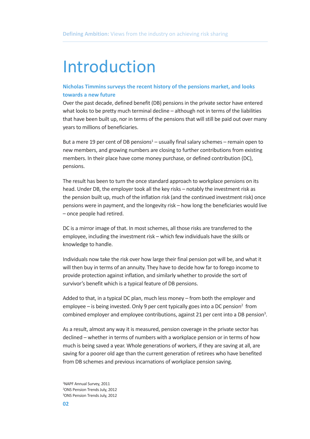### Introduction

#### **Nicholas Timmins surveys the recent history of the pensions market, and looks towards a new future**

Over the past decade, defined benefit (DB) pensions in the private sector have entered what looks to be pretty much terminal decline – although not in terms of the liabilities that have been built up, nor in terms of the pensions that will still be paid out over many years to millions of beneficiaries.

But a mere 19 per cent of DB pensions<sup>1</sup> – usually final salary schemes – remain open to new members, and growing numbers are closing to further contributions from existing members. In their place have come money purchase, or defined contribution (DC), pensions.

The result has been to turn the once standard approach to workplace pensions on its head. Under DB, the employer took all the key risks – notably the investment risk as the pension built up, much of the inflation risk (and the continued investment risk) once pensions were in payment, and the longevity risk – how long the beneficiaries would live – once people had retired.

DC is a mirror image of that. In most schemes, all those risks are transferred to the employee, including the investment risk – which few individuals have the skills or knowledge to handle.

Individuals now take the risk over how large their final pension pot will be, and what it will then buy in terms of an annuity. They have to decide how far to forego income to provide protection against inflation, and similarly whether to provide the sort of survivor's benefit which is a typical feature of DB pensions.

Added to that, in a typical DC plan, much less money – from both the employer and employee – is being invested. Only 9 per cent typically goes into a DC pension<sup>2</sup> from combined employer and employee contributions, against 21 per cent into a DB pension<sup>3</sup>.

As a result, almost any way it is measured, pension coverage in the private sector has declined – whether in terms of numbers with a workplace pension or in terms of how much is being saved a year. Whole generations of workers, if they are saving at all, are saving for a poorer old age than the current generation of retirees who have benefited from DB schemes and previous incarnations of workplace pension saving.

1 NAPF Annual Survey, 2011 2 ONS Pension Trends July, 2012 3 ONS Pension Trends July, 2012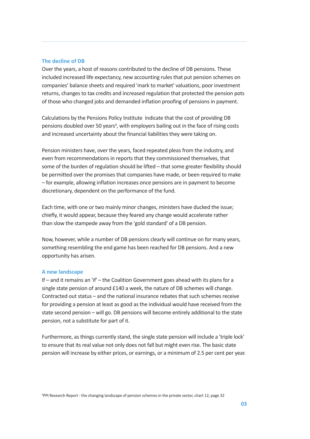#### **The decline of DB**

Over the years, a host of reasons contributed to the decline of DB pensions. These included increased life expectancy, new accounting rules that put pension schemes on companies' balance sheets and required 'mark to market' valuations, poor investment returns, changes to tax credits and increased regulation that protected the pension pots of those who changed jobs and demanded inflation proofing of pensions in payment.

Calculations by the Pensions Policy Institute indicate that the cost of providing DB pensions doubled over 50 years<sup>4</sup>, with employers bailing out in the face of rising costs and increased uncertainty about the financial liabilities they were taking on.

Pension ministers have, over the years, faced repeated pleas from the industry, and even from recommendations in reports that they commissioned themselves, that some of the burden of regulation should be lifted – that some greater flexibility should be permitted over the promises that companies have made, or been required to make – for example, allowing inflation increases once pensions are in payment to become discretionary, dependent on the performance of the fund.

Each time, with one or two mainly minor changes, ministers have ducked the issue; chiefly, it would appear, because they feared any change would accelerate rather than slow the stampede away from the 'gold standard' of a DB pension.

Now, however, while a number of DB pensions clearly will continue on for many years, something resembling the end game has been reached for DB pensions. And a new opportunity has arisen.

#### **A new landscape**

If – and it remains an 'if' – the Coalition Government goes ahead with its plans for a single state pension of around £140 a week, the nature of DB schemes will change. Contracted out status – and the national insurance rebates that such schemes receive for providing a pension at least as good as the individual would have received from the state second pension – will go. DB pensions will become entirely additional to the state pension, not a substitute for part of it.

Furthermore, asthings currently stand, the single state pension will include a 'triple lock' to ensure that its real value not only does not fall but might even rise. The basic state pension will increase by either prices, or earnings, or a minimum of 2.5 per cent per year.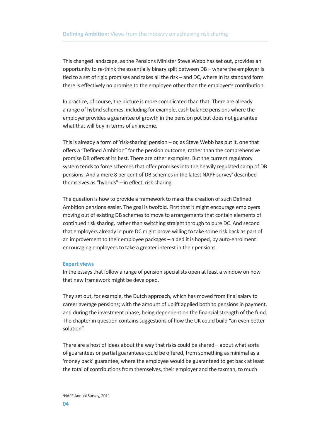This changed landscape, as the Pensions Minister Steve Webb has set out, provides an opportunity to re-think the essentially binary split between DB – where the employer is tied to a set of rigid promises and takes all the risk – and DC, where in its standard form there is effectively no promise to the employee other than the employer's contribution.

In practice, of course, the picture is more complicated than that. There are already a range of hybrid schemes, including for example, cash balance pensions where the employer provides a guarantee of growth in the pension pot but does not guarantee what that will buy in terms of an income.

This is already a form of 'risk-sharing' pension – or, as Steve Webb has put it, one that offers a "Defined Ambition" for the pension outcome, rather than the comprehensive promise DB offers at its best. There are other examples. But the current regulatory system tends to force schemes that offer promises into the heavily regulated camp of DB pensions. And a mere 8 per cent of DB schemes in the latest NAPF survey<sup>5</sup> described themselves as "hybrids" – in effect, risk-sharing.

The question is how to provide a framework to make the creation of such Defined Ambition pensions easier. The goal is twofold. First that it might encourage employers moving out of existing DB schemes to move to arrangements that contain elements of continued risk sharing, rather than switching straight through to pure DC. And second that employers already in pure DC might prove willing to take some risk back as part of an improvement to their employee packages – aided it is hoped, by auto-enrolment encouraging employees to take a greater interest in their pensions.

#### **Expert views**

In the essays that follow a range of pension specialists open at least a window on how that new framework might be developed.

They set out, for example, the Dutch approach, which has moved from final salary to career average pensions; with the amount of uplift applied both to pensions in payment, and during the investment phase, being dependent on the financial strength of the fund. The chapter in question contains suggestions of how the UK could build "an even better solution".

There are a host of ideas about the way that risks could be shared – about what sorts of guarantees or partial guarantees could be offered, from something as minimal as a 'money back' guarantee, where the employee would be guaranteed to get back at least the total of contributions from themselves, their employer and the taxman, to much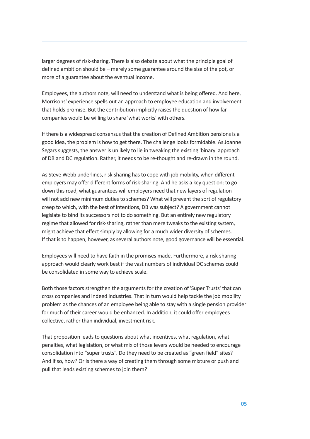larger degrees of risk-sharing. There is also debate about what the principle goal of defined ambition should be – merely some guarantee around the size of the pot, or more of a guarantee about the eventual income.

Employees, the authors note, will need to understand what is being offered. And here, Morrisons' experience spells out an approach to employee education and involvement that holds promise. But the contribution implicitly raises the question of how far companies would be willing to share 'what works' with others.

If there is a widespread consensus that the creation of Defined Ambition pensions is a good idea, the problem is how to get there. The challenge looks formidable. As Joanne Segars suggests, the answer is unlikely to lie in tweaking the existing 'binary' approach of DB and DC regulation. Rather, it needs to be re-thought and re-drawn in the round.

As Steve Webb underlines, risk-sharing hasto cope with job mobility, when different employers may offer different forms of risk-sharing. And he asks a key question: to go down this road, what guarantees will employers need that new layers of regulation will not add new minimum duties to schemes? What will prevent the sort of regulatory creep to which, with the best of intentions, DB wassubject? A government cannot legislate to bind its successors not to do something. But an entirely new regulatory regime that allowed for risk-sharing, rather than mere tweaks to the existing system, might achieve that effect simply by allowing for a much wider diversity of schemes. If that is to happen, however, as several authors note, good governance will be essential.

Employees will need to have faith in the promises made. Furthermore, a risk-sharing approach would clearly work best if the vast numbers of individual DC schemes could be consolidated in some way to achieve scale.

Both those factors strengthen the arguments for the creation of 'Super Trusts' that can cross companies and indeed industries. That in turn would help tackle the job mobility problem as the chances of an employee being able to stay with a single pension provider for much of their career would be enhanced. In addition, it could offer employees collective, rather than individual, investment risk.

That proposition leads to questions about what incentives, what regulation, what penalties, what legislation, or what mix of those levers would be needed to encourage consolidation into "super trusts". Do they need to be created as "green field" sites? And if so, how? Or is there a way of creating them through some mixture or push and pull that leads existing schemes to join them?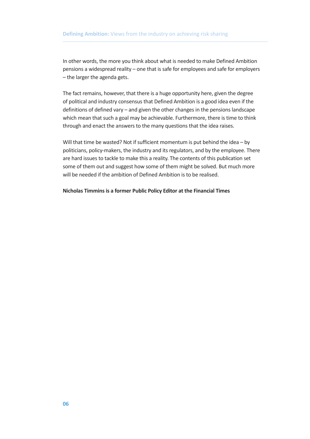In other words, the more you think about what is needed to make Defined Ambition pensions a widespread reality – one that is safe for employees and safe for employers – the larger the agenda gets.

The fact remains, however, that there is a huge opportunity here, given the degree of political and industry consensus that Defined Ambition is a good idea even if the definitions of defined vary – and given the other changes in the pensions landscape which mean that such a goal may be achievable. Furthermore, there is time to think through and enact the answers to the many questions that the idea raises.

Will that time be wasted? Not if sufficient momentum is put behind the idea – by politicians, policy-makers, the industry and its regulators, and by the employee. There are hard issues to tackle to make this a reality. The contents of this publication set some of them out and suggest how some of them might be solved. But much more will be needed if the ambition of Defined Ambition is to be realised.

#### **Nicholas Timminsis a former Public Policy Editor at the Financial Times**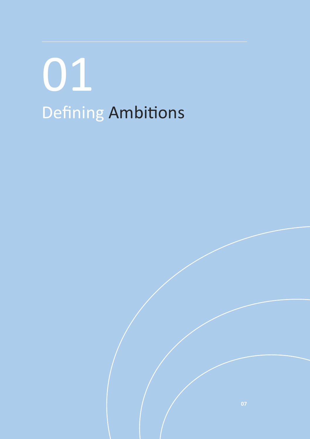# Defining Ambitions 01

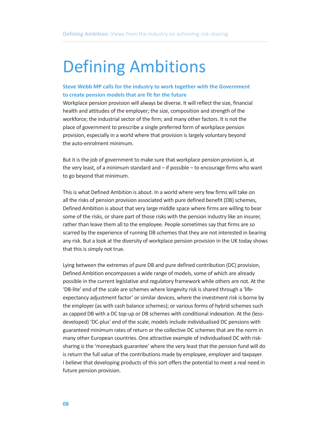### Defining Ambitions

#### **Steve Webb MP calls for the industry to work together with the Government to create pension models that are fit for the future**

Workplace pension provision will always be diverse. It will reflect the size, financial health and attitudes of the employer; the size, composition and strength of the workforce; the industrial sector of the firm; and many other factors. It is not the place of government to prescribe a single preferred form of workplace pension provision, especially in a world where that provision is largely voluntary beyond the auto-enrolment minimum.

But it is the job of government to make sure that workplace pension provision is, at the very least, of a minimum standard and – if possible – to encourage firms who want to go beyond that minimum.

This is what Defined Ambition is about. In a world where very few firms will take on all the risks of pension provision associated with pure defined benefit (DB) schemes, Defined Ambition is about that very large middle space where firms are willing to bear some of the risks, or share part of those risks with the pension industry like an insurer, rather than leave them all to the employee. People sometimes say that firms are so scarred by the experience of running DB schemes that they are not interested in bearing any risk. But a look at the diversity of workplace pension provision in the UK today shows that this is simply not true.

Lying between the extremes of pure DB and pure defined contribution (DC) provision, Defined Ambition encompasses a wide range of models, some of which are already possible in the current legislative and regulatory framework while others are not. At the 'DB-lite' end of the scale are schemes where longevity risk is shared through a 'lifeexpectancy adjustment factor' or similar devices, where the investment risk is borne by the employer (as with cash balance schemes); or various forms of hybrid schemes such as capped DB with a DC top-up or DB schemes with conditional indexation. At the (lessdeveloped) 'DC-plus' end of the scale, models include individualised DC pensions with guaranteed minimum rates of return or the collective DC schemes that are the norm in many other European countries. One attractive example of individualised DC with risksharing is the 'moneyback guarantee' where the very least that the pension fund will do is return the full value of the contributions made by employee, employer and taxpayer. I believe that developing products of this sort offers the potential to meet a real need in future pension provision.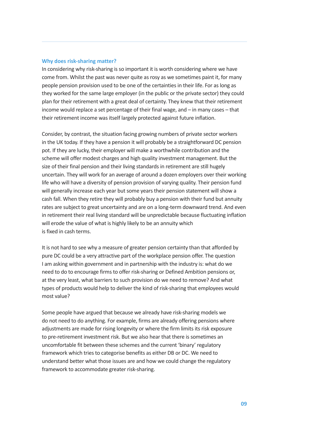#### **Why does risk-sharing matter?**

In considering why risk-sharing is so important it is worth considering where we have come from. Whilst the past was never quite as rosy as we sometimes paint it, for many people pension provision used to be one of the certainties in their life. For as long as they worked for the same large employer (in the public or the private sector) they could plan for their retirement with a great deal of certainty. They knew that their retirement income would replace a set percentage of their final wage, and – in many cases – that their retirement income was itself largely protected against future inflation.

Consider, by contrast, the situation facing growing numbers of private sector workers in the UK today. If they have a pension it will probably be a straightforward DC pension pot. If they are lucky, their employer will make a worthwhile contribution and the scheme will offer modest charges and high quality investment management. But the size of their final pension and their living standards in retirement are still hugely uncertain. They will work for an average of around a dozen employers over their working life who will have a diversity of pension provision of varying quality. Their pension fund will generally increase each year but some years their pension statement will show a cash fall. When they retire they will probably buy a pension with their fund but annuity rates are subject to great uncertainty and are on a long-term downward trend. And even in retirement their real living standard will be unpredictable because fluctuating inflation will erode the value of what is highly likely to be an annuity which is fixed in cash terms.

It is not hard to see why a measure of greater pension certainty than that afforded by pure DC could be a very attractive part of the workplace pension offer. The question I am asking within government and in partnership with the industry is: what do we need to do to encourage firms to offer risk-sharing or Defined Ambition pensions or, at the very least, what barriers to such provision do we need to remove? And what types of products would help to deliver the kind of risk-sharing that employees would most value?

Some people have argued that because we already have risk-sharing models we do not need to do anything. For example, firms are already offering pensions where adjustments are made for rising longevity or where the firm limits its risk exposure to pre-retirement investment risk. But we also hear that there is sometimes an uncomfortable fit between these schemes and the current 'binary' regulatory framework which tries to categorise benefits as either DB or DC. We need to understand better what those issues are and how we could change the regulatory framework to accommodate greater risk-sharing.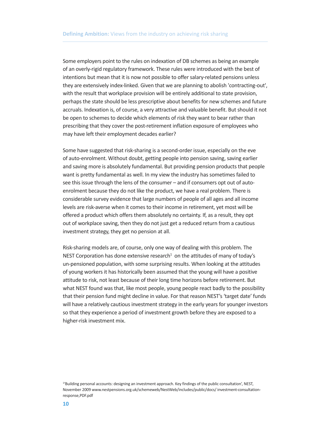Some employers point to the rules on indexation of DB schemes as being an example of an overly-rigid regulatory framework. These rules were introduced with the best of intentions but mean that it is now not possible to offer salary-related pensions unless they are extensively index-linked. Given that we are planning to abolish 'contracting-out', with the result that workplace provision will be entirely additional to state provision, perhaps the state should be less prescriptive about benefits for new schemes and future accruals. Indexation is, of course, a very attractive and valuable benefit. But should it not be open to schemes to decide which elements of risk they want to bear rather than prescribing that they cover the post-retirement inflation exposure of employees who may have left their employment decades earlier?

Some have suggested that risk-sharing is a second-order issue, especially on the eve of auto-enrolment. Without doubt, getting people into pension saving, saving earlier and saving more is absolutely fundamental. But providing pension products that people want is pretty fundamental as well. In my view the industry has sometimes failed to see this issue through the lens of the consumer – and if consumers opt out of autoenrolment because they do not like the product, we have a real problem. There is considerable survey evidence that large numbers of people of all ages and all income levels are risk-averse when it comes to their income in retirement, yet most will be offered a product which offers them absolutely no certainty. If, as a result, they opt out of workplace saving, then they do not just get a reduced return from a cautious investment strategy, they get no pension at all.

Risk-sharing models are, of course, only one way of dealing with this problem. The NEST Corporation has done extensive research $1$  on the attitudes of many of today's un-pensioned population, with some surprising results. When looking at the attitudes of young workers it has historically been assumed that the young will have a positive attitude to risk, not least because of their long time horizons before retirement. But what NEST found was that, like most people, young people react badly to the possibility that their pension fund might decline in value. For that reason NEST's 'target date' funds will have a relatively cautious investment strategy in the early years for younger investors so that they experience a period of investment growth before they are exposed to a higher-risk investment mix.

<sup>&</sup>lt;sup>1</sup>'Building personal accounts: designing an investment approach. Key findings of the public consultation', NEST, November 2009 www.nestpensions.org.uk/schemeweb/NestWeb/includes/public/docs/ investment-consultationresponse,PDF.pdf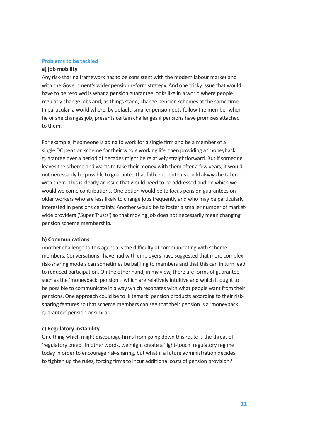#### **Problems to be tackled**

#### **a) job mobility**

Any risk-sharing framework has to be consistent with the modern labour market and with the Government's wider pension reform strategy. And one tricky issue that would have to be resolved is what a pension guarantee looks like in a world where people regularly change jobs and, as things stand, change pension schemes at the same time. In particular, a world where, by default, smaller pension pots follow the member when he or she changes job, presents certain challenges if pensions have promises attached to them.

For example, if someone is going to work for a single firm and be a member of a single DC pension scheme for their whole working life, then providing a 'moneyback' guarantee over a period of decades might be relatively straightforward. But if someone leaves the scheme and wants to take their money with them after a few years, it would not necessarily be possible to guarantee that full contributions could always be taken with them. This is clearly an issue that would need to be addressed and on which we would welcome contributions. One option would be to focus pension guarantees on older workers who are less likely to change jobs frequently and who may be particularly interested in pensions certainty. Another would be to foster a smaller number of marketwide providers ('Super Trusts') so that moving job does not necessarily mean changing pension scheme membership.

#### **b) Communications**

Another challenge to this agenda is the difficulty of communicating with scheme members. Conversations I have had with employers have suggested that more complex risk-sharing models can sometimes be baffling to members and that this can in turn lead to reduced participation. On the other hand, in my view, there are forms of guarantee – such as the 'moneyback' pension – which are relatively intuitive and which it ought to be possible to communicate in a way which resonates with what people want from their pensions. One approach could be to 'kitemark' pension products according to their risksharing features so that scheme members can see that their pension is a 'moneyback guarantee' pension or similar.

#### **c) Regulatory instability**

One thing which might discourage firms from going down this route is the threat of 'regulatory creep'. In other words, we might create a 'light-touch' regulatory regime today in order to encourage risk-sharing, but what if a future administration decides to tighten up the rules, forcing firms to incur additional costs of pension provision?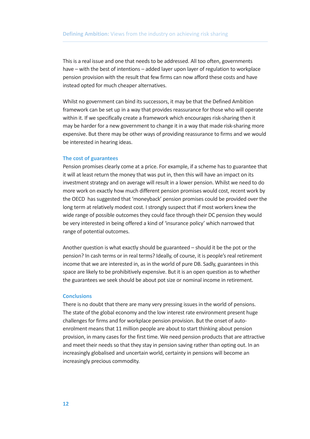This is a real issue and one that needs to be addressed. All too often, governments have – with the best of intentions – added layer upon layer of regulation to workplace pension provision with the result that few firms can now afford these costs and have instead opted for much cheaper alternatives.

Whilst no government can bind its successors, it may be that the Defined Ambition framework can be set up in a way that provides reassurance for those who will operate within it. If we specifically create a framework which encourages risk-sharing then it may be harder for a new government to change it in a way that made risk-sharing more expensive. But there may be other ways of providing reassurance to firms and we would be interested in hearing ideas.

#### **The cost of guarantees**

Pension promises clearly come at a price. For example, if a scheme has to guarantee that it will at least return the money that was put in, then this will have an impact on its investment strategy and on average will result in a lower pension. Whilst we need to do more work on exactly how much different pension promises would cost, recent work by the OECD has suggested that 'moneyback' pension promises could be provided over the long term at relatively modest cost. I strongly suspect that if most workers knew the wide range of possible outcomes they could face through their DC pension they would be very interested in being offered a kind of 'insurance policy' which narrowed that range of potential outcomes.

Another question is what exactly should be guaranteed – should it be the pot or the pension? In cash terms or in real terms? Ideally, of course, it is people's real retirement income that we are interested in, as in the world of pure DB. Sadly, guarantees in this space are likely to be prohibitively expensive. But it is an open question as to whether the guarantees we seek should be about pot size or nominal income in retirement.

#### **Conclusions**

There is no doubt that there are many very pressing issues in the world of pensions. The state of the global economy and the low interest rate environment present huge challenges for firms and for workplace pension provision. But the onset of autoenrolment means that 11 million people are about to start thinking about pension provision, in many cases for the first time. We need pension products that are attractive and meet their needs so that they stay in pension saving rather than opting out. In an increasingly globalised and uncertain world, certainty in pensions will become an increasingly precious commodity.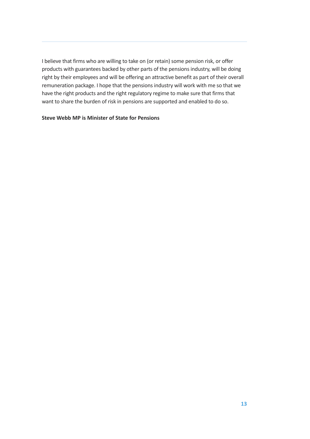I believe that firms who are willing to take on (or retain) some pension risk, or offer products with guarantees backed by other parts of the pensions industry, will be doing right by their employees and will be offering an attractive benefit as part of their overall remuneration package. I hope that the pensions industry will work with me so that we have the right products and the right regulatory regime to make sure that firms that want to share the burden of risk in pensions are supported and enabled to do so.

#### **Steve Webb MP is Minister of State for Pensions**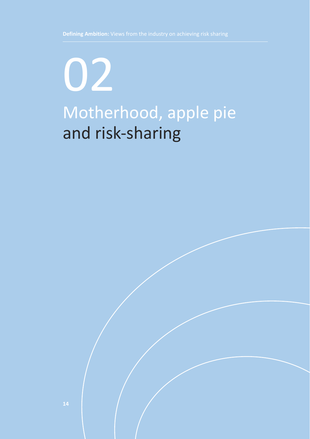## Motherhood, apple pie and risk-sharing 02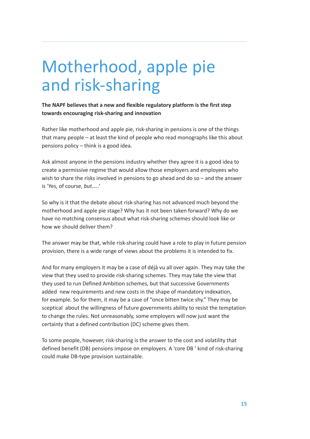### Motherhood, apple pie and risk-sharing

**The NAPF believes that a new and flexible regulatory platform is the first step towards encouraging risk-sharing and innovation**

Rather like motherhood and apple pie, risk-sharing in pensions is one of the things that many people – at least the kind of people who read monographs like this about pensions policy – think is a good idea.

Ask almost anyone in the pensions industry whether they agree it is a good idea to create a permissive regime that would allow those employers and employees who wish to share the risks involved in pensions to go ahead and do so – and the answer is 'Yes, of course, *but…..*'

So why is it that the debate about risk-sharing has not advanced much beyond the motherhood and apple pie stage? Why has it not been taken forward? Why do we have no matching consensus about what risk-sharing schemes should look like or how we should deliver them?

The answer may be that, while risk-sharing could have a role to play in future pension provision, there is a wide range of views about the problems it is intended to fix.

And for many employers it may be a case of déjà vu all over again. They may take the view that they used to provide risk-sharing schemes. They may take the view that they used to run Defined Ambition schemes, but that successive Governments added new requirements and new costs in the shape of mandatory indexation, for example. So for them, it may be a case of "once bitten twice shy." They may be sceptical about the willingness of future governments ability to resist the temptation to change the rules. Not unreasonably, some employers will now just want the certainty that a defined contribution (DC) scheme gives them.

To some people, however, risk-sharing is the answer to the cost and volatility that defined benefit (DB) pensions impose on employers. A 'core DB ' kind of risk-sharing could make DB-type provision sustainable.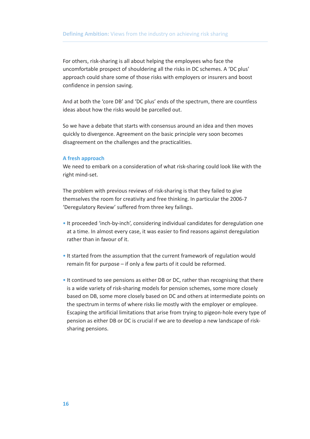For others, risk-sharing is all about helping the employees who face the uncomfortable prospect of shouldering all the risks in DC schemes. A 'DC plus' approach could share some of those risks with employers or insurers and boost confidence in pension saving.

And at both the 'core DB' and 'DC plus' ends of the spectrum, there are countless ideas about how the risks would be parcelled out.

So we have a debate that starts with consensus around an idea and then moves quickly to divergence. Agreement on the basic principle very soon becomes disagreement on the challenges and the practicalities.

#### **A fresh approach**

We need to embark on a consideration of what risk-sharing could look like with the right mind-set.

The problem with previous reviews of risk-sharing is that they failed to give themselves the room for creativity and free thinking. In particular the 2006-7 'Deregulatory Review' suffered from three key failings.

- It proceeded 'inch-by-inch', considering individual candidates for deregulation one at a time. In almost every case, it was easier to find reasons against deregulation rather than in favour of it.
- It started from the assumption that the current framework of regulation would remain fit for purpose – if only a few parts of it could be reformed.
- It continued to see pensions as either DB or DC, rather than recognising that there is a wide variety of risk-sharing models for pension schemes, some more closely based on DB, some more closely based on DC and others at intermediate points on the spectrum in terms of where risks lie mostly with the employer or employee. Escaping the artificial limitations that arise from trying to pigeon-hole every type of pension as either DB or DC is crucial if we are to develop a new landscape of risksharing pensions.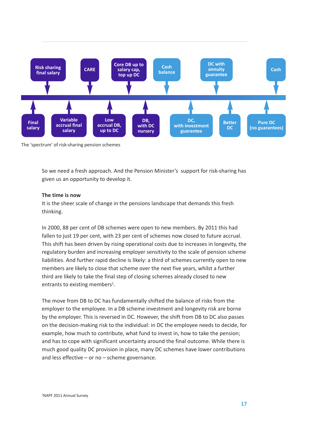

The 'spectrum' of risk-sharing pension schemes

So we need a fresh approach. And the Pension Minister's support for risk-sharing has given us an opportunity to develop it.

#### **The time is now**

It is the sheer scale of change in the pensions landscape that demands this fresh thinking.

In 2000, 88 per cent of DB schemes were open to new members. By 2011 this had fallen to just 19 per cent, with 23 per cent of schemes now closed to future accrual. This shift has been driven by rising operational costs due to increases in longevity, the regulatory burden and increasing employer sensitivity to the scale of pension scheme liabilities. And further rapid decline is likely: a third of schemes currently open to new members are likely to close that scheme over the next five years, whilst a further third are likely to take the final step of closing schemes already closed to new entrants to existing members<sup>1</sup>.

The move from DB to DC has fundamentally shifted the balance of risks from the employer to the employee. In a DB scheme investment and longevity risk are borne by the employer. This is reversed in DC. However, the shift from DB to DC also passes on the decision-making risk to the individual: in DC the employee needs to decide, for example, how much to contribute, what fund to invest in, how to take the pension; and has to cope with significant uncertainty around the final outcome. While there is much good quality DC provision in place, many DC schemes have lower contributions and less effective – or no – scheme governance.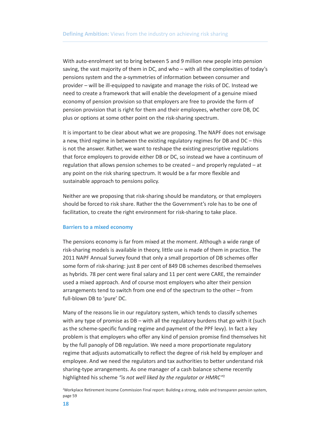With auto-enrolment set to bring between 5 and 9 million new people into pension saving, the vast majority of them in DC, and who – with all the complexities of today's pensions system and the a-symmetries of information between consumer and provider – will be ill-equipped to navigate and manage the risks of DC. Instead we need to create a framework that will enable the development of a genuine mixed economy of pension provision so that employers are free to provide the form of pension provision that is right for them and their employees, whether core DB, DC plus or options at some other point on the risk-sharing spectrum.

It is important to be clear about what we are proposing. The NAPF does not envisage a new, third regime in between the existing regulatory regimes for DB and DC – this is not the answer. Rather, we want to reshape the existing prescriptive regulations that force employers to provide either DB or DC, so instead we have a continuum of regulation that allows pension schemes to be created – and properly regulated – at any point on the risk sharing spectrum. It would be a far more flexible and sustainable approach to pensions policy.

Neither are we proposing that risk-sharing should be mandatory, or that employers should be forced to risk share. Rather the the Government's role has to be one of facilitation, to create the right environment for risk-sharing to take place.

#### **Barriers to a mixed economy**

The pensions economy is far from mixed at the moment. Although a wide range of risk-sharing models is available in theory, little use is made of them in practice. The 2011 NAPF Annual Survey found that only a small proportion of DB schemes offer some form of risk-sharing: just 8 per cent of 849 DB schemes described themselves as hybrids. 78 per cent were final salary and 11 per cent were CARE, the remainder used a mixed approach. And of course most employers who alter their pension arrangements tend to switch from one end of the spectrum to the other – from full-blown DB to 'pure' DC.

Many of the reasons lie in our regulatory system, which tends to classify schemes with any type of promise as DB – with all the regulatory burdens that go with it (such as the scheme-specific funding regime and payment of the PPF levy). In fact a key problem is that employers who offer any kind of pension promise find themselves hit by the full panoply of DB regulation. We need a more proportionate regulatory regime that adjusts automatically to reflect the degree of risk held by employer and employee. And we need the regulators and tax authorities to better understand risk sharing-type arrangements. As one manager of a cash balance scheme recently highlighted his scheme *"is not well liked by the regulator or HMRC"*<sup>2</sup>

2 Workplace Retirement Income Commission Final report: Building a strong, stable and transparen pension system, page 59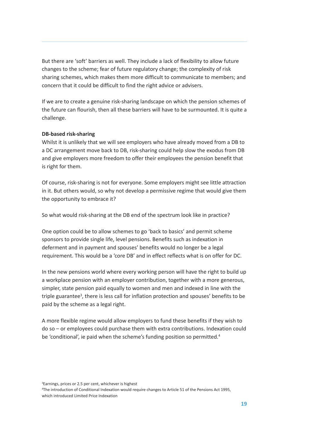But there are 'soft' barriers as well. They include a lack of flexibility to allow future changes to the scheme; fear of future regulatory change; the complexity of risk sharing schemes, which makes them more difficult to communicate to members; and concern that it could be difficult to find the right advice or advisers.

If we are to create a genuine risk-sharing landscape on which the pension schemes of the future can flourish, then all these barriers will have to be surmounted. It is quite a challenge.

#### **DB-based risk-sharing**

Whilst it is unlikely that we will see employers who have already moved from a DB to a DC arrangement move back to DB, risk-sharing could help slow the exodus from DB and give employers more freedom to offer their employees the pension benefit that is right for them.

Of course, risk-sharing is not for everyone. Some employers might see little attraction in it. But others would, so why not develop a permissive regime that would give them the opportunity to embrace it?

So what would risk-sharing at the DB end of the spectrum look like in practice?

One option could be to allow schemes to go 'back to basics' and permit scheme sponsors to provide single life, level pensions. Benefits such as indexation in deferment and in payment and spouses' benefits would no longer be a legal requirement. This would be a 'core DB' and in effect reflects what is on offer for DC.

In the new pensions world where every working person will have the right to build up a workplace pension with an employer contribution, together with a more generous, simpler, state pension paid equally to women and men and indexed in line with the triple guarantee<sup>3</sup>, there is less call for inflation protection and spouses' benefits to be paid by the scheme as a legal right.

A more flexible regime would allow employers to fund these benefits if they wish to do so – or employees could purchase them with extra contributions. Indexation could be 'conditional', ie paid when the scheme's funding position so permitted. 4

<sup>3</sup>Earnings, prices or 2.5 per cent, whichever is highest

4 The introduction of Conditional Indexation would require changes to Article 51 of the Pensions Act 1995, which introduced Limited Price Indexation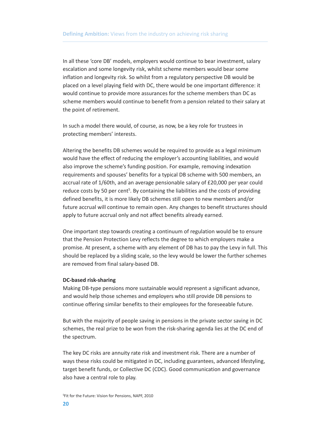In all these 'core DB' models, employers would continue to bear investment, salary escalation and some longevity risk, whilst scheme members would bear some inflation and longevity risk. So whilst from a regulatory perspective DB would be placed on a level playing field with DC, there would be one important difference: it would continue to provide more assurances for the scheme members than DC as scheme members would continue to benefit from a pension related to their salary at the point of retirement.

In such a model there would, of course, as now, be a key role for trustees in protecting members' interests.

Altering the benefits DB schemes would be required to provide as a legal minimum would have the effect of reducing the employer's accounting liabilities, and would also improve the scheme's funding position. For example, removing indexation requirements and spouses' benefits for a typical DB scheme with 500 members, an accrual rate of 1/60th, and an average pensionable salary of £20,000 per year could reduce costs by 50 per cent<sup>5</sup>. By containing the liabilities and the costs of providing defined benefits, it is more likely DB schemes still open to new members and/or future accrual will continue to remain open. Any changes to benefit structures should apply to future accrual only and not affect benefits already earned.

One important step towards creating a continuum of regulation would be to ensure that the Pension Protection Levy reflects the degree to which employers make a promise. At present, a scheme with any element of DB has to pay the Levy in full. This should be replaced by a sliding scale, so the levy would be lower the further schemes are removed from final salary-based DB.

#### **DC-based risk-sharing**

Making DB-type pensions more sustainable would represent a significant advance, and would help those schemes and employers who still provide DB pensions to continue offering similar benefits to their employees for the foreseeable future.

But with the majority of people saving in pensions in the private sector saving in DC schemes, the real prize to be won from the risk-sharing agenda lies at the DC end of the spectrum.

The key DC risks are annuity rate risk and investment risk. There are a number of ways these risks could be mitigated in DC, including guarantees, advanced lifestyling, target benefit funds, or Collective DC (CDC). Good communication and governance also have a central role to play.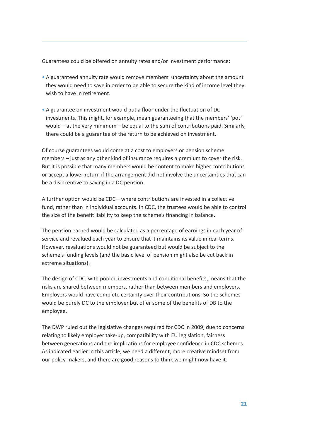Guarantees could be offered on annuity rates and/or investment performance:

- A guaranteed annuity rate would remove members' uncertainty about the amount they would need to save in order to be able to secure the kind of income level they wish to have in retirement.
- A guarantee on investment would put a floor under the fluctuation of DC investments. This might, for example, mean guaranteeing that the members' 'pot' would – at the very minimum – be equal to the sum of contributions paid. Similarly, there could be a guarantee of the return to be achieved on investment.

Of course guarantees would come at a cost to employers or pension scheme members – just as any other kind of insurance requires a premium to cover the risk. But it is possible that many members would be content to make higher contributions or accept a lower return if the arrangement did not involve the uncertainties that can be a disincentive to saving in a DC pension.

A further option would be CDC – where contributions are invested in a collective fund, rather than in individual accounts. In CDC, the trustees would be able to control the size of the benefit liability to keep the scheme's financing in balance.

The pension earned would be calculated as a percentage of earnings in each year of service and revalued each year to ensure that it maintains its value in real terms. However, revaluations would not be guaranteed but would be subject to the scheme's funding levels (and the basic level of pension might also be cut back in extreme situations).

The design of CDC, with pooled investments and conditional benefits, means that the risks are shared between members, rather than between members and employers. Employers would have complete certainty over their contributions. So the schemes would be purely DC to the employer but offer some of the benefits of DB to the employee.

The DWP ruled out the legislative changes required for CDC in 2009, due to concerns relating to likely employer take-up, compatibility with EU legislation, fairness between generations and the implications for employee confidence in CDC schemes. As indicated earlier in this article, we need a different, more creative mindset from our policy-makers, and there are good reasons to think we might now have it.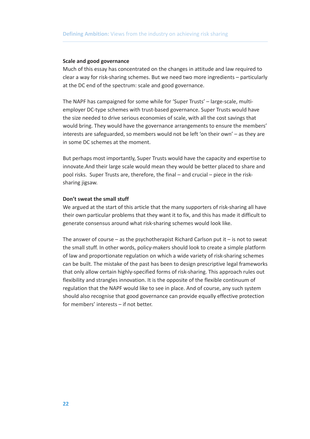#### **Scale and good governance**

Much of this essay has concentrated on the changes in attitude and law required to clear a way for risk-sharing schemes. But we need two more ingredients – particularly at the DC end of the spectrum: scale and good governance.

The NAPF has campaigned for some while for 'Super Trusts' – large-scale, multiemployer DC-type schemes with trust-based governance. Super Trusts would have the size needed to drive serious economies of scale, with all the cost savings that would bring. They would have the governance arrangements to ensure the members' interests are safeguarded, so members would not be left 'on their own' – as they are in some DC schemes at the moment.

But perhaps most importantly, Super Trusts would have the capacity and expertise to innovate.And their large scale would mean they would be better placed to share and pool risks. Super Trusts are, therefore, the final – and crucial – piece in the risksharing jigsaw.

#### **Don't sweat the small stuff**

We argued at the start of this article that the many supporters of risk-sharing all have their own particular problems that they want it to fix, and this has made it difficult to generate consensus around what risk-sharing schemes would look like.

The answer of course – as the psychotherapist Richard Carlson put it – is not to sweat the small stuff. In other words, policy-makers should look to create a simple platform of law and proportionate regulation on which a wide variety of risk-sharing schemes can be built. The mistake of the past has been to design prescriptive legal frameworks that only allow certain highly-specified forms of risk-sharing. This approach rules out flexibility and strangles innovation. It is the opposite of the flexible continuum of regulation that the NAPF would like to see in place. And of course, any such system should also recognise that good governance can provide equally effective protection for members' interests – if not better.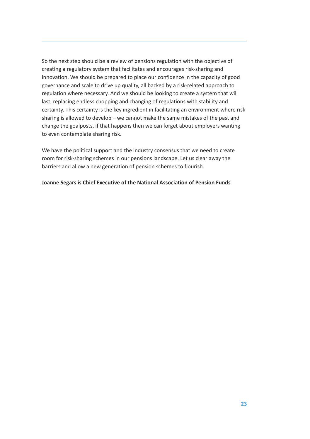So the next step should be a review of pensions regulation with the objective of creating a regulatory system that facilitates and encourages risk-sharing and innovation. We should be prepared to place our confidence in the capacity of good governance and scale to drive up quality, all backed by a risk-related approach to regulation where necessary. And we should be looking to create a system that will last, replacing endless chopping and changing of regulations with stability and certainty. This certainty is the key ingredient in facilitating an environment where risk sharing is allowed to develop – we cannot make the same mistakes of the past and change the goalposts, if that happens then we can forget about employers wanting to even contemplate sharing risk.

We have the political support and the industry consensus that we need to create room for risk-sharing schemes in our pensions landscape. Let us clear away the barriers and allow a new generation of pension schemes to flourish.

#### **Joanne Segars is Chief Executive of the National Association of Pension Funds**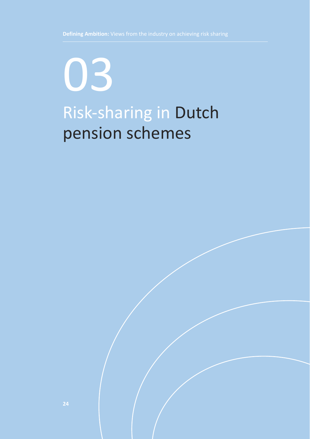## Risk-sharing in Dutch pension schemes 03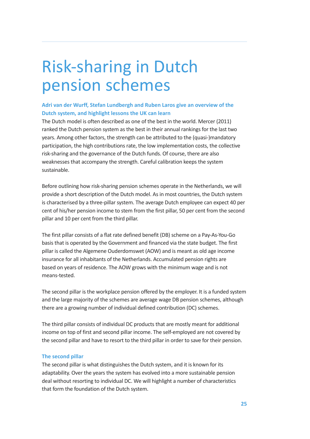### Risk-sharing in Dutch pension schemes

#### **Adri van der Wurff, Stefan Lundbergh and Ruben Laros give an overview of the Dutch system, and highlight lessons the UK can learn**

The Dutch model is often described as one of the best in the world. Mercer (2011) ranked the Dutch pension system as the best in their annual rankings for the last two years. Among other factors, the strength can be attributed to the (quasi-)mandatory participation, the high contributions rate, the low implementation costs, the collective risk-sharing and the governance of the Dutch funds. Of course, there are also weaknesses that accompany the strength. Careful calibration keeps the system sustainable.

Before outlining how risk-sharing pension schemes operate in the Netherlands, we will provide a short description of the Dutch model. As in most countries, the Dutch system is characterised by a three-pillar system. The average Dutch employee can expect 40 per cent of his/her pension income to stem from the first pillar, 50 per cent from the second pillar and 10 per cent from the third pillar.

The first pillar consists of a flat rate defined benefit (DB) scheme on a Pay-As-You-Go basis that is operated by the Government and financed via the state budget. The first pillar is called the Algemene Ouderdomswet (AOW) and is meant as old age income insurance for all inhabitants of the Netherlands. Accumulated pension rights are based on years of residence. The AOW grows with the minimum wage and is not means-tested.

The second pillar is the workplace pension offered by the employer. It is a funded system and the large majority of the schemes are average wage DB pension schemes, although there are a growing number of individual defined contribution (DC) schemes.

The third pillar consists of individual DC products that are mostly meant for additional income on top of first and second pillar income. The self-employed are not covered by the second pillar and have to resort to the third pillar in order to save for their pension.

#### **The second pillar**

The second pillar is what distinguishes the Dutch system, and it is known for its adaptability. Over the years the system has evolved into a more sustainable pension deal without resorting to individual DC. We will highlight a number of characteristics that form the foundation of the Dutch system.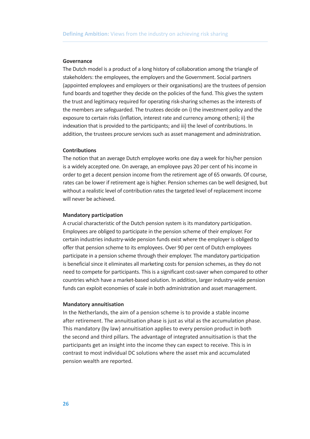#### **Governance**

The Dutch model is a product of a long history of collaboration among the triangle of stakeholders: the employees, the employers and the Government. Social partners (appointed employees and employers or their organisations) are the trustees of pension fund boards and together they decide on the policies of the fund. This gives the system the trust and legitimacy required for operating risk-sharing schemes as the interests of the members are safeguarded. The trustees decide on i) the investment policy and the exposure to certain risks (inflation, interest rate and currency among others); ii) the indexation that is provided to the participants; and iii) the level of contributions. In addition, the trustees procure services such as asset management and administration.

#### **Contributions**

The notion that an average Dutch employee works one day a week for his/her pension is a widely accepted one. On average, an employee pays 20 per cent of his income in order to get a decent pension income from the retirement age of 65 onwards. Of course, rates can be lower if retirement age is higher. Pension schemes can be well designed, but without a realistic level of contribution rates the targeted level of replacement income will never be achieved.

#### **Mandatory participation**

A crucial characteristic of the Dutch pension system is its mandatory participation. Employees are obliged to participate in the pension scheme of their employer. For certain industries industry-wide pension funds exist where the employer is obliged to offer that pension scheme to its employees. Over 90 per cent of Dutch employees participate in a pension scheme through their employer. The mandatory participation is beneficial since it eliminates all marketing costs for pension schemes, as they do not need to compete for participants. This is a significant cost-saver when compared to other countries which have a market-based solution. In addition, larger industry-wide pension funds can exploit economies of scale in both administration and asset management.

#### **Mandatory annuitisation**

In the Netherlands, the aim of a pension scheme is to provide a stable income after retirement. The annuitisation phase is just as vital as the accumulation phase. This mandatory (by law) annuitisation applies to every pension product in both the second and third pillars. The advantage of integrated annuitisation is that the participants get an insight into the income they can expect to receive. This is in contrast to most individual DC solutions where the asset mix and accumulated pension wealth are reported.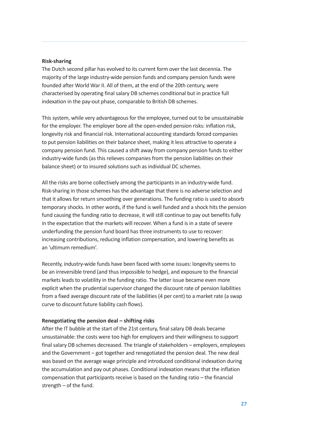#### **Risk-sharing**

The Dutch second pillar has evolved to its current form over the last decennia. The majority of the large industry-wide pension funds and company pension funds were founded after World War II. All of them, at the end of the 20th century, were characterised by operating final salary DB schemes conditional but in practice full indexation in the pay-out phase, comparable to British DB schemes.

This system, while very advantageous for the employee, turned out to be unsustainable for the employer. The employer bore all the open-ended pension risks: inflation risk, longevity risk and financial risk. International accounting standards forced companies to put pension liabilities on their balance sheet, making it less attractive to operate a company pension fund. This caused a shift away from company pension funds to either industry-wide funds (as this relieves companies from the pension liabilities on their balance sheet) or to insured solutions such as individual DC schemes.

All the risks are borne collectively among the participants in an industry-wide fund. Risk-sharing in those schemes has the advantage that there is no adverse selection and that it allows for return smoothing over generations. The funding ratio is used to absorb temporary shocks. In other words, if the fund is well funded and a shock hits the pension fund causing the funding ratio to decrease, it will still continue to pay out benefits fully in the expectation that the markets will recover. When a fund is in a state of severe underfunding the pension fund board has three instruments to use to recover: increasing contributions, reducing inflation compensation, and lowering benefits as an 'ultimum remedium'.

Recently, industry-wide funds have been faced with some issues: longevity seems to be an irreversible trend (and thus impossible to hedge), and exposure to the financial markets leads to volatility in the funding ratio. The latter issue became even more explicit when the prudential supervisor changed the discount rate of pension liabilities from a fixed average discount rate of the liabilities (4 per cent) to a market rate (a swap curve to discount future liability cash flows).

#### **Renegotiating the pension deal – shifting risks**

After the IT bubble at the start of the 21st century, final salary DB deals became unsustainable: the costs were too high for employers and their willingness to support final salary DB schemes decreased. The triangle of stakeholders – employers, employees and the Government – got together and renegotiated the pension deal. The new deal was based on the average wage principle and introduced conditional indexation during the accumulation and pay out phases. Conditional indexation means that the inflation compensation that participants receive is based on the funding ratio – the financial strength – of the fund.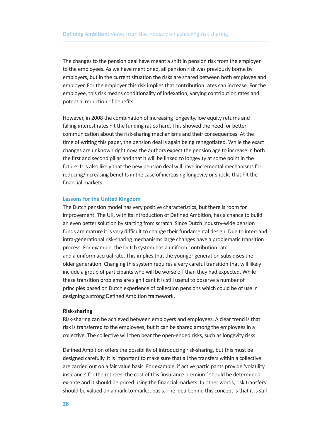The changes to the pension deal have meant a shift in pension risk from the employer to the employees. As we have mentioned, all pension risk was previously borne by employers, but in the current situation the risks are shared between both employee and employer. For the employer this risk implies that contribution rates can increase. For the employee, this risk means conditionality of indexation, varying contribution rates and potential reduction of benefits.

However, in 2008 the combination of increasing longevity, low equity returns and falling interest rates hit the funding ratios hard. This showed the need for better communication about the risk-sharing mechanisms and their consequences. At the time of writing this paper, the pension deal is again being renegotiated. While the exact changes are unknown right now, the authors expect the pension age to increase in both the first and second pillar and that it will be linked to longevity at some point in the future. It is also likely that the new pension deal will have incremental mechanisms for reducing/increasing benefits in the case of increasing longevity or shocks that hit the financial markets.

#### **Lessons for the United Kingdom**

The Dutch pension model has very positive characteristics, but there is room for improvement. The UK, with its introduction of Defined Ambition, has a chance to build an even better solution by starting from scratch. Since Dutch industry-wide pension funds are mature it is very difficult to change their fundamental design. Due to inter- and intra-generational risk-sharing mechanisms large changes have a problematic transition process. For example, the Dutch system has a uniform contribution rate and a uniform accrual rate. This implies that the younger generation subsidises the older generation. Changing this system requires a very careful transition that will likely include a group of participants who will be worse off than they had expected. While these transition problems are significant it is still useful to observe a number of principles based on Dutch experience of collection pensions which could be of use in designing a strong Defined Ambition framework.

#### **Risk-sharing**

Risk-sharing can be achieved between employers and employees. A clear trend is that risk is transferred to the employees, but it can be shared among the employees in a collective. The collective will then bear the open-ended risks, such as longevity risks.

Defined Ambition offers the possibility of introducing risk-sharing, but this must be designed carefully. It is important to make sure that all the transfers within a collective are carried out on a fair value basis. For example, if active participants provide 'volatility insurance' for the retirees, the cost of this 'insurance premium' should be determined ex-ante and it should be priced using the financial markets. In other words, risk transfers should be valued on a mark-to-market basis. The idea behind this concept is that it is still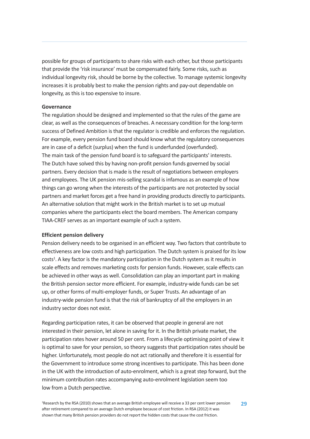possible for groups of participants to share risks with each other, but those participants that provide the 'risk insurance' must be compensated fairly. Some risks, such as individual longevity risk, should be borne by the collective. To manage systemic longevity increases it is probably best to make the pension rights and pay-out dependable on longevity, as this is too expensive to insure.

#### **Governance**

The regulation should be designed and implemented so that the rules of the game are clear, as well as the consequences of breaches. A necessary condition for the long-term success of Defined Ambition is that the regulator is credible and enforces the regulation. For example, every pension fund board should know what the regulatory consequences are in case of a deficit (surplus) when the fund is underfunded (overfunded). The main task of the pension fund board is to safeguard the participants' interests. The Dutch have solved this by having non-profit pension funds governed by social partners. Every decision that is made is the result of negotiations between employers and employees. The UK pension mis-selling scandal is infamous as an example of how things can go wrong when the interests of the participants are not protected by social partners and market forces get a free hand in providing products directly to participants. An alternative solution that might work in the British market is to set up mutual companies where the participants elect the board members. The American company TIAA-CREF serves as an important example of such a system.

#### **Efficient pension delivery**

Pension delivery needs to be organised in an efficient way. Two factors that contribute to effectiveness are low costs and high participation. The Dutch system is praised for its low costs<sup>1</sup>. A key factor is the mandatory participation in the Dutch system as it results in scale effects and removes marketing costs for pension funds. However, scale effects can be achieved in other ways as well. Consolidation can play an important part in making the British pension sector more efficient. For example, industry-wide funds can be set up, or other forms of multi-employer funds, or Super Trusts. An advantage of an industry-wide pension fund is that the risk of bankruptcy of all the employers in an industry sector does not exist.

Regarding participation rates, it can be observed that people in general are not interested in their pension, let alone in saving for it. In the British private market, the participation rates hover around 50 per cent. From a lifecycle optimising point of view it is optimal to save for your pension, so theory suggests that participation rates should be higher. Unfortunately, most people do not act rationally and therefore it is essential for the Government to introduce some strong incentives to participate. This has been done in the UK with the introduction of auto-enrolment, which is a great step forward, but the minimum contribution rates accompanying auto-enrolment legislation seem too low from a Dutch perspective.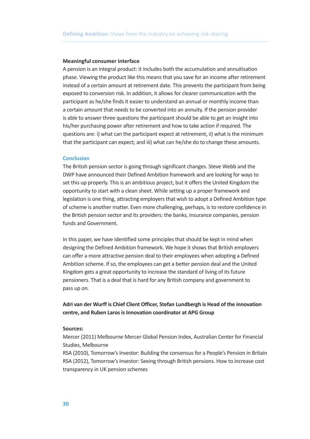#### **Meaningful consumer interface**

A pension is an integral product: it includes both the accumulation and annuitisation phase. Viewing the product like this means that you save for an income after retirement instead of a certain amount at retirement date. This prevents the participant from being exposed to conversion risk. In addition, it allows for clearer communication with the participant as he/she finds it easier to understand an annual or monthly income than a certain amount that needs to be converted into an annuity. If the pension provider is able to answer three questions the participant should be able to get an insight into his/her purchasing power after retirement and how to take action if required. The questions are: i) what can the participant expect at retirement, ii) what is the minimum that the participant can expect; and iii) what can he/she do to change these amounts.

#### **Conclusion**

The British pension sector is going through significant changes. Steve Webb and the DWP have announced their Defined Ambition framework and are looking for ways to set this up properly. This is an ambitious project, but it offers the United Kingdom the opportunity to start with a clean sheet. While setting up a proper framework and legislation is one thing, attracting employers that wish to adopt a Defined Ambition type of scheme is another matter. Even more challenging, perhaps, is to restore confidence in the British pension sector and its providers: the banks, insurance companies, pension funds and Government.

In this paper, we have identified some principles that should be kept in mind when designing the Defined Ambition framework. We hope it shows that British employers can offer a more attractive pension deal to their employees when adopting a Defined Ambition scheme. If so, the employees can get a better pension deal and the United Kingdom gets a great opportunity to increase the standard of living of its future pensioners. That is a deal that is hard for any British company and government to pass up on.

**Adri van der Wurff is Chief Client Officer, Stefan Lundbergh is Head of the innovation centre, and Ruben LarosisInnovation coordinator at APG Group**

#### **Sources:**

Mercer (2011) Melbourne Mercer Global Pension Index, Australian Center for Financial Studies, Melbourne

RSA (2010), Tomorrow's Investor: Building the consensus for a People's Pension in Britain RSA (2012), Tomorrow's Investor: Seeing through British pensions. How to increase cost transparency in UK pension schemes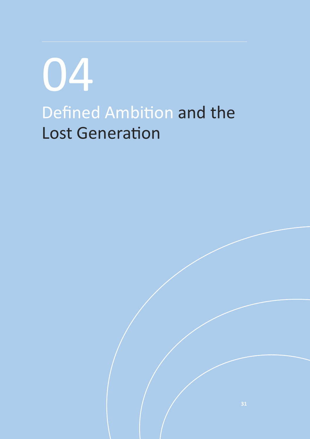Defined Ambition and the Lost Generation 04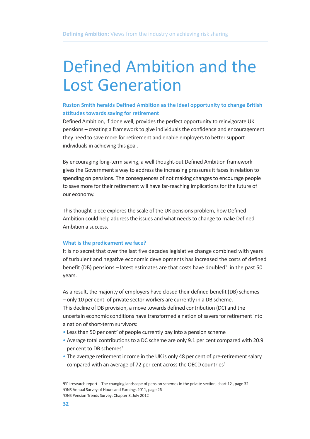### Defined Ambition and the Lost Generation

#### **Ruston Smith heralds Defined Ambition as the ideal opportunity to change British attitudes towards saving for retirement**

Defined Ambition, if done well, provides the perfect opportunity to reinvigorate UK pensions – creating a framework to give individuals the confidence and encouragement they need to save more for retirement and enable employers to better support individuals in achieving this goal.

By encouraging long-term saving, a well thought-out Defined Ambition framework gives the Government a way to address the increasing pressures it faces in relation to spending on pensions. The consequences of not making changes to encourage people to save more for their retirement will have far-reaching implications for the future of our economy.

This thought-piece explores the scale of the UK pensions problem, how Defined Ambition could help address the issues and what needs to change to make Defined Ambition a success.

#### **What is the predicament we face?**

It is no secret that over the last five decades legislative change combined with years of turbulent and negative economic developments has increased the costs of defined benefit (DB) pensions – latest estimates are that costs have doubled<sup>1</sup> in the past 50 years.

As a result, the majority of employers have closed their defined benefit (DB) schemes – only 10 per cent of private sector workers are currently in a DB scheme. This decline of DB provision, a move towards defined contribution (DC) and the uncertain economic conditions have transformed a nation of savers for retirement into a nation of short-term survivors:

- Less than 50 per cent<sup>2</sup> of people currently pay into a pension scheme
- Average total contributions to a DC scheme are only 9.1 per cent compared with 20.9 per cent to DB schemes<sup>3</sup>
- The average retirement income in the UK is only 48 per cent of pre-retirement salary compared with an average of 72 per cent across the OECD countries<sup>4</sup>

<sup>1</sup> PPI research report – The changing landscape of pension schemes in the private section, chart 12 , page 32 2 ONS Annual Survey of Hours and Earnings 2011, page 26 3 ONS Pension Trends Survey: Chapter 8, July 2012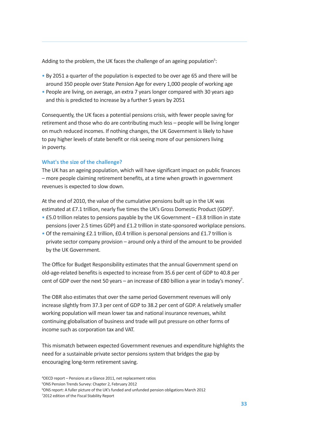Adding to the problem, the UK faces the challenge of an ageing population<sup>5</sup>:

- By 2051 a quarter of the population is expected to be over age 65 and there will be around 350 people over State Pension Age for every 1,000 people of working age
- People are living, on average, an extra 7 years longer compared with 30 years ago and this is predicted to increase by a further 5 years by 2051

Consequently, the UK faces a potential pensions crisis, with fewer people saving for retirement and those who do are contributing much less – people will be living longer on much reduced incomes. If nothing changes, the UK Government is likely to have to pay higher levels of state benefit or risk seeing more of our pensioners living in poverty.

#### **What's the size of the challenge?**

The UK has an ageing population, which will have significant impact on public finances – more people claiming retirement benefits, at a time when growth in government revenues is expected to slow down.

At the end of 2010, the value of the cumulative pensions built up in the UK was estimated at £7.1 trillion, nearly five times the UK's Gross Domestic Product (GDP)<sup>6</sup>.

- £5.0 trillion relates to pensions payable by the UK Government £3.8 trillion in state pensions (over 2.5 times GDP) and £1.2 trillion in state-sponsored workplace pensions.
- Of the remaining £2.1 trillion, £0.4 trillion is personal pensions and £1.7 trillion is private sector company provision – around only a third of the amount to be provided by the UK Government.

The Office for Budget Responsibility estimates that the annual Government spend on old-age-related benefits is expected to increase from 35.6 per cent of GDP to 40.8 per cent of GDP over the next 50 years – an increase of £80 billion a year in today's money<sup>7</sup>.

The OBR also estimates that over the same period Government revenues will only increase slightly from 37.3 per cent of GDP to 38.2 per cent of GDP. A relatively smaller working population will mean lower tax and national insurance revenues, whilst continuing globalisation of business and trade will put pressure on other forms of income such as corporation tax and VAT.

This mismatch between expected Government revenues and expenditure highlights the need for a sustainable private sector pensions system that bridges the gap by encouraging long-term retirement saving.

 OECD report – Pensions at a Glance 2011, net replacement ratios ONS Pension Trends Survey: Chapter 2, February 2012 ONS report: A fuller picture of the UK's funded and unfunded pension obligations March 2012 2012 edition of the Fiscal Stability Report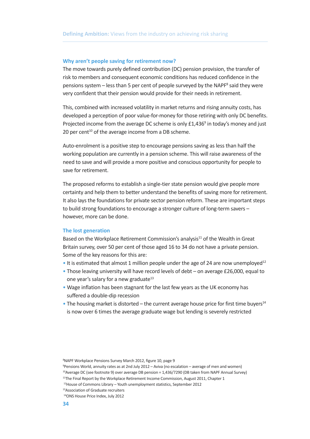#### **Why aren't people saving for retirement now?**

The move towards purely defined contribution (DC) pension provision, the transfer of risk to members and consequent economic conditions has reduced confidence in the pensions system  $-$  less than 5 per cent of people surveyed by the NAPF $^8$  said they were very confident that their pension would provide for their needs in retirement.

This, combined with increased volatility in market returns and rising annuity costs, has developed a perception of poor value-for-money for those retiring with only DC benefits. Projected income from the average DC scheme is only £1,436<sup>9</sup> in today's money and just 20 per cent <sup>10</sup> of the average income from a DB scheme.

Auto-enrolment is a positive step to encourage pensions saving as less than half the working population are currently in a pension scheme. This will raise awareness of the need to save and will provide a more positive and conscious opportunity for people to save for retirement.

The proposed reforms to establish a single-tier state pension would give people more certainty and help them to better understand the benefits of saving more for retirement. It also lays the foundations for private sector pension reform. These are important steps to build strong foundations to encourage a stronger culture of long-term savers – however, more can be done.

#### **The lost generation**

Based on the Workplace Retirement Commission's analysis<sup>11</sup> of the Wealth in Great Britain survey, over 50 per cent of those aged 16 to 34 do not have a private pension. Some of the key reasons for this are:

- $\bullet$  It is estimated that almost 1 million people under the age of 24 are now unemployed<sup>12</sup>
- Those leaving university will have record levels of debt on average £26,000, equal to one year's salary for a new graduate<sup>13</sup>
- Wage inflation has been stagnant for the last few years as the UK economy has suffered a double-dip recession
- $\bullet$  The housing market is distorted the current average house price for first time buyers<sup>14</sup> is now over 6 times the average graduate wage but lending is severely restricted

<sup>8</sup> NAPF Workplace Pensions Survey March 2012, figure 10, page 9

<sup>9</sup> Pensions World, annuity rates as at 2nd July 2012 – Aviva (no escalation – average of men and women)

<sup>&</sup>lt;sup>10</sup> Average DC (see footnote 9) over average DB pension = 1,436/7290 (DB taken from NAPF Annual Survey)

<sup>&</sup>lt;sup>11</sup>The Final Report by the Workplace Retirement Income Commission, August 2011, Chapter 1

<sup>&</sup>lt;sup>12</sup> House of Commons Library - Youth unemployment statistics, September 2012

<sup>13</sup> Association of Graduate recruiters

<sup>14</sup> ONS House Price Index, July 2012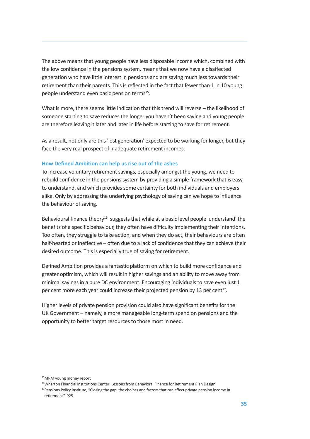The above means that young people have less disposable income which, combined with the low confidence in the pensions system, means that we now have a disaffected generation who have little interest in pensions and are saving much less towards their retirement than their parents. This is reflected in the fact that fewer than 1 in 10 young people understand even basic pension terms<sup>15</sup>.

What is more, there seems little indication that this trend will reverse – the likelihood of someone starting to save reduces the longer you haven't been saving and young people are therefore leaving it later and later in life before starting to save for retirement.

As a result, not only are this 'lost generation' expected to be working for longer, but they face the very real prospect of inadequate retirement incomes.

#### **How Defined Ambition can help us rise out of the ashes**

To increase voluntary retirement savings, especially amongst the young, we need to rebuild confidence in the pensions system by providing a simple framework that is easy to understand, and which provides some certainty for both individuals and employers alike. Only by addressing the underlying psychology of saving can we hope to influence the behaviour of saving.

Behavioural finance theory<sup>16</sup> suggests that while at a basic level people 'understand' the benefits of a specific behaviour, they often have difficulty implementing their intentions. Too often, they struggle to take action, and when they do act, their behaviours are often half-hearted or ineffective – often due to a lack of confidence that they can achieve their desired outcome. This is especially true of saving for retirement.

Defined Ambition provides a fantastic platform on which to build more confidence and greater optimism, which will result in higher savings and an ability to move away from minimal savings in a pure DC environment. Encouraging individuals to save even just 1 per cent more each year could increase their projected pension by 13 per cent<sup>17</sup>.

Higher levels of private pension provision could also have significant benefits for the UK Government – namely, a more manageable long-term spend on pensions and the opportunity to better target resources to those most in need.

<sup>15</sup> MRM young money report

<sup>&</sup>lt;sup>16</sup>Wharton Financial Institutions Center: Lessons from Behavioral Finance for Retirement Plan Design

<sup>&</sup>lt;sup>17</sup>Pensions Policy Institute, "Closing the gap: the choices and factors that can affect private pension income in retirement", P25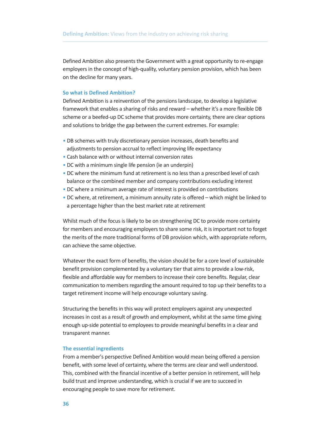Defined Ambition also presents the Government with a great opportunity to re-engage employers in the concept of high-quality, voluntary pension provision, which has been on the decline for many years.

#### **So what is Defined Ambition?**

Defined Ambition is a reinvention of the pensions landscape, to develop a legislative framework that enables a sharing of risks and reward – whether it's a more flexible DB scheme or a beefed-up DC scheme that provides more certainty, there are clear options and solutions to bridge the gap between the current extremes. For example:

- DB schemes with truly discretionary pension increases, death benefits and adjustments to pension accrual to reflect improving life expectancy
- Cash balance with or without internal conversion rates
- DC with a minimum single life pension (ie an underpin)
- DC where the minimum fund at retirement is no less than a prescribed level of cash balance or the combined member and company contributions excluding interest
- DC where a minimum average rate of interest is provided on contributions
- DC where, at retirement, a minimum annuity rate is offered which might be linked to a percentage higher than the best market rate at retirement

Whilst much of the focus is likely to be on strengthening DC to provide more certainty for members and encouraging employers to share some risk, it is important not to forget the merits of the more traditional forms of DB provision which, with appropriate reform, can achieve the same objective.

Whatever the exact form of benefits, the vision should be for a core level of sustainable benefit provision complemented by a voluntary tier that aims to provide a low-risk, flexible and affordable way for members to increase their core benefits. Regular, clear communication to members regarding the amount required to top up their benefits to a target retirement income will help encourage voluntary saving.

Structuring the benefits in this way will protect employers against any unexpected increases in cost as a result of growth and employment, whilst at the same time giving enough up-side potential to employees to provide meaningful benefits in a clear and transparent manner.

#### **The essential ingredients**

From a member's perspective Defined Ambition would mean being offered a pension benefit, with some level of certainty, where the terms are clear and well understood. This, combined with the financial incentive of a better pension in retirement, will help build trust and improve understanding, which is crucial if we are to succeed in encouraging people to save more for retirement.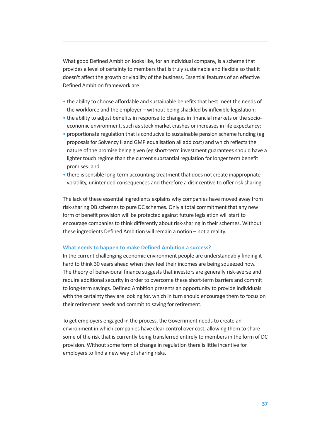What good Defined Ambition looks like, for an individual company, is a scheme that provides a level of certainty to members that is truly sustainable and flexible so that it doesn't affect the growth or viability of the business. Essential features of an effective Defined Ambition framework are:

- the ability to choose affordable and sustainable benefits that best meet the needs of the workforce and the employer – without being shackled by inflexible legislation;
- the ability to adjust benefits in response to changes in financial markets or the socioeconomic environment, such as stock market crashes or increases in life expectancy;
- proportionate regulation that is conducive to sustainable pension scheme funding (eg proposals for Solvency II and GMP equalisation all add cost) and which reflects the nature of the promise being given (eg short-term investment guarantees should have a lighter touch regime than the current substantial regulation for longer term benefit promises: and
- there is sensible long-term accounting treatment that does not create inappropriate volatility, unintended consequences and therefore a disincentive to offer risk sharing.

The lack of these essential ingredients explains why companies have moved away from risk-sharing DB schemes to pure DC schemes. Only a total commitment that any new form of benefit provision will be protected against future legislation will start to encourage companies to think differently about risk-sharing in their schemes. Without these ingredients Defined Ambition will remain a notion – not a reality.

#### **What needs to happen to make Defined Ambition a success?**

In the current challenging economic environment people are understandably finding it hard to think 30 years ahead when they feel their incomes are being squeezed now. The theory of behavioural finance suggests that investors are generally risk-averse and require additional security in order to overcome these short-term barriers and commit to long-term savings. Defined Ambition presents an opportunity to provide individuals with the certainty they are looking for, which in turn should encourage them to focus on their retirement needs and commit to saving for retirement.

To get employers engaged in the process, the Government needs to create an environment in which companies have clear control over cost, allowing them to share some of the risk that is currently being transferred entirely to members in the form of DC provision. Without some form of change in regulation there is little incentive for employers to find a new way of sharing risks.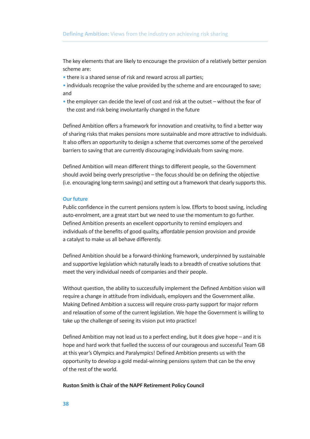The key elements that are likely to encourage the provision of a relatively better pension scheme are:

- there is a shared sense of risk and reward across all parties;
- individuals recognise the value provided by the scheme and are encouraged to save; and
- the employer can decide the level of cost and risk at the outset without the fear of the cost and risk being involuntarily changed in the future

Defined Ambition offers a framework for innovation and creativity, to find a better way of sharing risks that makes pensions more sustainable and more attractive to individuals. It also offers an opportunity to design a scheme that overcomes some of the perceived barriers to saving that are currently discouraging individuals from saving more.

Defined Ambition will mean different things to different people, so the Government should avoid being overly prescriptive – the focus should be on defining the objective (i.e. encouraging long-term savings) and setting out a framework that clearly supportsthis.

#### **Our future**

Public confidence in the current pensions system is low. Efforts to boost saving, including auto-enrolment, are a great start but we need to use the momentum to go further. Defined Ambition presents an excellent opportunity to remind employers and individuals of the benefits of good quality, affordable pension provision and provide a catalyst to make us all behave differently.

Defined Ambition should be a forward-thinking framework, underpinned by sustainable and supportive legislation which naturally leads to a breadth of creative solutions that meet the very individual needs of companies and their people.

Without question, the ability to successfully implement the Defined Ambition vision will require a change in attitude from individuals, employers and the Government alike. Making Defined Ambition a success will require cross-party support for major reform and relaxation of some of the current legislation. We hope the Government is willing to take up the challenge of seeing its vision put into practice!

Defined Ambition may not lead us to a perfect ending, but it does give hope – and it is hope and hard work that fuelled the success of our courageous and successful Team GB at this year's Olympics and Paralympics! Defined Ambition presents us with the opportunity to develop a gold medal-winning pensions system that can be the envy of the rest of the world.

#### **Ruston Smith is Chair of the NAPF Retirement Policy Council**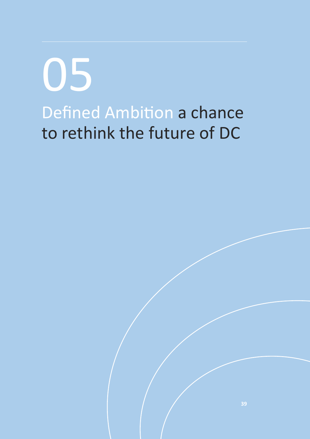Defined Ambition a chance to rethink the future of DC 05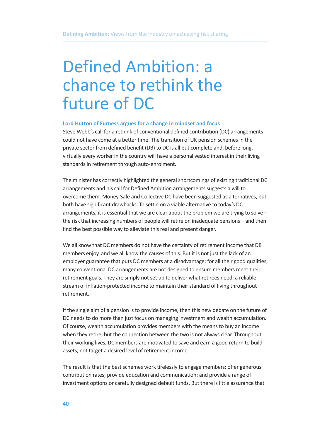# Defined Ambition: a chance to rethink the future of DC

#### **Lord Hutton of Furness argues for a change in mindset and focus**

Steve Webb's call for a rethink of conventional defined contribution (DC) arrangements could not have come at a better time. The transition of UK pension schemes in the private sector from defined benefit (DB) to DC is all but complete and, before long, virtually every worker in the country will have a personal vested interest in their living standards in retirement through auto-enrolment.

The minister has correctly highlighted the general shortcomings of existing traditional DC arrangements and his call for Defined Ambition arrangements suggests a will to overcome them. Money-Safe and Collective DC have been suggested as alternatives, but both have significant drawbacks. To settle on a viable alternative to today's DC arrangements, it is essential that we are clear about the problem we are trying to solve – the risk that increasing numbers of people will retire on inadequate pensions – and then find the best possible way to alleviate this real and present danger.

We all know that DC members do not have the certainty of retirement income that DB members enjoy, and we all know the causes of this. But it is not just the lack of an employer guarantee that puts DC members at a disadvantage; for all their good qualities, many conventional DC arrangements are not designed to ensure members meet their retirement goals. They are simply not set up to deliver what retirees need: a reliable stream of inflation-protected income to maintain their standard of living throughout retirement.

If the single aim of a pension is to provide income, then this new debate on the future of DC needs to do more than just focus on managing investment and wealth accumulation. Of course, wealth accumulation provides members with the means to buy an income when they retire, but the connection between the two is not always clear. Throughout their working lives, DC members are motivated to save and earn a good return to build assets, not target a desired level of retirement income.

The result is that the best schemes work tirelessly to engage members; offer generous contribution rates; provide education and communication; and provide a range of investment options or carefully designed default funds. But there is little assurance that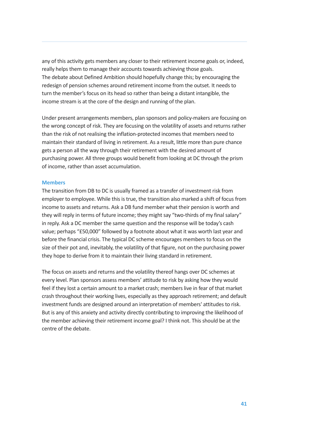any of this activity gets members any closer to their retirement income goals or, indeed, really helps them to manage their accounts towards achieving those goals. The debate about Defined Ambition should hopefully change this; by encouraging the redesign of pension schemes around retirement income from the outset. It needs to turn the member's focus on its head so rather than being a distant intangible, the income stream is at the core of the design and running of the plan.

Under present arrangements members, plan sponsors and policy-makers are focusing on the wrong concept of risk. They are focusing on the volatility of assets and returns rather than the risk of not realising the inflation-protected incomes that members need to maintain their standard of living in retirement. As a result, little more than pure chance gets a person all the way through their retirement with the desired amount of purchasing power. All three groups would benefit from looking at DC through the prism of income, rather than asset accumulation.

#### **Members**

The transition from DB to DC is usually framed as a transfer of investment risk from employer to employee. While this is true, the transition also marked a shift of focus from income to assets and returns. Ask a DB fund member what their pension is worth and they will reply in terms of future income; they might say "two-thirds of my final salary" in reply. Ask a DC member the same question and the response will be today's cash value; perhaps "£50,000" followed by a footnote about what it was worth last year and before the financial crisis. The typical DC scheme encourages members to focus on the size of their pot and, inevitably, the volatility of that figure, not on the purchasing power they hope to derive from it to maintain their living standard in retirement.

The focus on assets and returns and the volatility thereof hangs over DC schemes at every level. Plan sponsors assess members' attitude to risk by asking how they would feel if they lost a certain amount to a market crash; members live in fear of that market crash throughout their working lives, especially as they approach retirement; and default investment funds are designed around an interpretation of members' attitudes to risk. But is any of this anxiety and activity directly contributing to improving the likelihood of the member achieving their retirement income goal? I think not. This should be at the centre of the debate.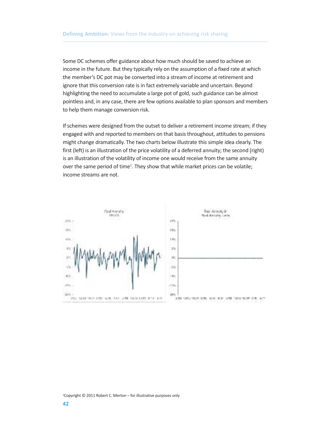Some DC schemes offer guidance about how much should be saved to achieve an income in the future. But they typically rely on the assumption of a fixed rate at which the member's DC pot may be converted into a stream of income at retirement and ignore that this conversion rate is in fact extremely variable and uncertain. Beyond highlighting the need to accumulate a large pot of gold, such guidance can be almost pointless and, in any case, there are few options available to plan sponsors and members to help them manage conversion risk.

If schemes were designed from the outset to deliver a retirement income stream; if they engaged with and reported to members on that basis throughout, attitudes to pensions might change dramatically. The two charts below illustrate this simple idea clearly. The first (left) is an illustration of the price volatility of a deferred annuity; the second (right) is an illustration of the volatility of income one would receive from the same annuity over the same period of time<sup>1</sup>. They show that while market prices can be volatile; income streams are not.



1 Copyright © 2011 Robert C. Merton – for illustrative purposes only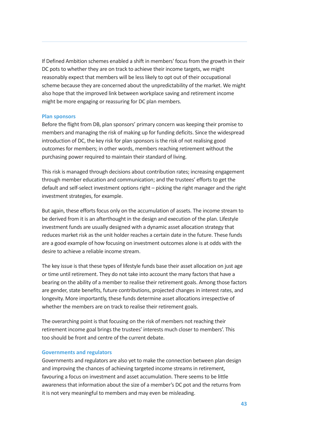If Defined Ambition schemes enabled a shift in members' focus from the growth in their DC pots to whether they are on track to achieve their income targets, we might reasonably expect that members will be less likely to opt out of their occupational scheme because they are concerned about the unpredictability of the market. We might also hope that the improved link between workplace saving and retirement income might be more engaging or reassuring for DC plan members.

#### **Plan sponsors**

Before the flight from DB, plan sponsors' primary concern was keeping their promise to members and managing the risk of making up for funding deficits. Since the widespread introduction of DC, the key risk for plan sponsors is the risk of not realising good outcomes for members; in other words, members reaching retirement without the purchasing power required to maintain their standard of living.

This risk is managed through decisions about contribution rates; increasing engagement through member education and communication; and the trustees' efforts to get the default and self-select investment options right – picking the right manager and the right investment strategies, for example.

But again, these efforts focus only on the accumulation of assets. The income stream to be derived from it is an afterthought in the design and execution of the plan. Lifestyle investment funds are usually designed with a dynamic asset allocation strategy that reduces market risk as the unit holder reaches a certain date in the future. These funds are a good example of how focusing on investment outcomes alone is at odds with the desire to achieve a reliable income stream.

The key issue is that these types of lifestyle funds base their asset allocation on just age or time until retirement. They do not take into account the many factors that have a bearing on the ability of a member to realise their retirement goals. Among those factors are gender, state benefits, future contributions, projected changes in interest rates, and longevity. More importantly, these funds determine asset allocations irrespective of whether the members are on track to realise their retirement goals.

The overarching point is that focusing on the risk of members not reaching their retirement income goal brings the trustees' interests much closer to members'. This too should be front and centre of the current debate.

#### **Governments and regulators**

Governments and regulators are also yet to make the connection between plan design and improving the chances of achieving targeted income streams in retirement, favouring a focus on investment and asset accumulation. There seems to be little awareness that information about the size of a member's DC pot and the returns from it is not very meaningful to members and may even be misleading.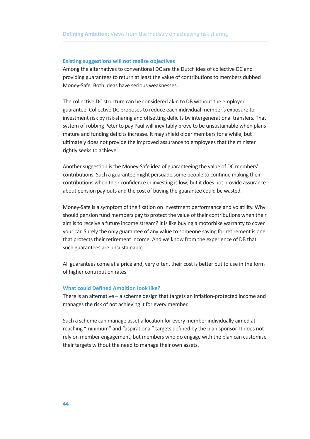#### **Existing suggestions will not realise objectives**

Among the alternatives to conventional DC are the Dutch idea of collective DC and providing guarantees to return at least the value of contributions to members dubbed Money-Safe. Both ideas have serious weaknesses.

The collective DC structure can be considered akin to DB without the employer guarantee. Collective DC proposes to reduce each individual member's exposure to investment risk by risk-sharing and offsetting deficits by intergenerational transfers. That system of robbing Peter to pay Paul will inevitably prove to be unsustainable when plans mature and funding deficits increase. It may shield older members for a while, but ultimately does not provide the improved assurance to employees that the minister rightly seeks to achieve.

Another suggestion is the Money-Safe idea of guaranteeing the value of DC members' contributions. Such a guarantee might persuade some people to continue making their contributions when their confidence in investing islow; but it does not provide assurance about pension pay-outs and the cost of buying the guarantee could be wasted.

Money-Safe is a symptom of the fixation on investment performance and volatility. Why should pension fund members pay to protect the value of their contributions when their aim is to receive a future income stream? It is like buying a motorbike warranty to cover your car. Surely the only guarantee of any value to someone saving for retirement is one that protects their retirement income. And we know from the experience of DB that such guarantees are unsustainable.

All guarantees come at a price and, very often, their cost is better put to use in the form of higher contribution rates.

#### **What could Defined Ambition look like?**

There is an alternative – a scheme design that targets an inflation-protected income and manages the risk of not achieving it for every member.

Such a scheme can manage asset allocation for every member individually aimed at reaching "minimum" and "aspirational" targets defined by the plan sponsor. It does not rely on member engagement, but members who do engage with the plan can customise their targets without the need to manage their own assets.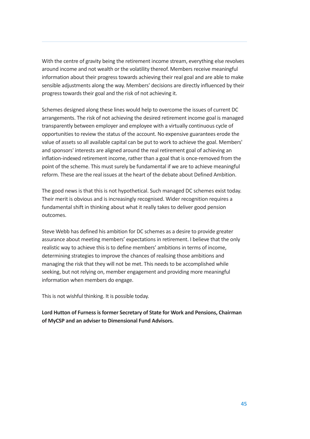With the centre of gravity being the retirement income stream, everything else revolves around income and not wealth or the volatility thereof. Members receive meaningful information about their progress towards achieving their real goal and are able to make sensible adjustments along the way. Members' decisions are directly influenced by their progress towards their goal and the risk of not achieving it.

Schemes designed along these lines would help to overcome the issues of current DC arrangements. The risk of not achieving the desired retirement income goal is managed transparently between employer and employee with a virtually continuous cycle of opportunities to review the status of the account. No expensive guarantees erode the value of assets so all available capital can be put to work to achieve the goal. Members' and sponsors' interests are aligned around the real retirement goal of achieving an inflation-indexed retirement income, rather than a goal that is once-removed from the point of the scheme. This must surely be fundamental if we are to achieve meaningful reform. These are the real issues at the heart of the debate about Defined Ambition.

The good news is that this is not hypothetical. Such managed DC schemes exist today. Their merit is obvious and is increasingly recognised. Wider recognition requires a fundamental shift in thinking about what it really takes to deliver good pension outcomes.

Steve Webb has defined his ambition for DC schemes as a desire to provide greater assurance about meeting members' expectations in retirement. I believe that the only realistic way to achieve this is to define members' ambitions in terms of income, determining strategies to improve the chances of realising those ambitions and managing the risk that they will not be met. This needs to be accomplished while seeking, but not relying on, member engagement and providing more meaningful information when members do engage.

This is not wishful thinking. It is possible today.

**Lord Hutton of Furnessisformer Secretary of State for Work and Pensions, Chairman of MyCSP and an adviser to Dimensional Fund Advisors.**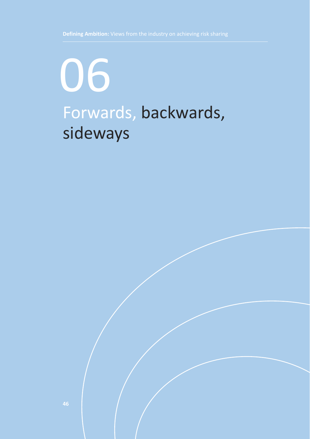# Forwards, backwards, sideways 06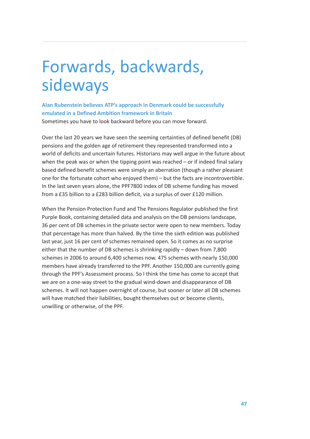# Forwards, backwards, sideways

**Alan Rubenstein believes ATP's approach in Denmark could be successfully emulated in a Defined Ambition framework in Britain**

Sometimes you have to look backward before you can move forward.

Over the last 20 years we have seen the seeming certainties of defined benefit (DB) pensions and the golden age of retirement they represented transformed into a world of deficits and uncertain futures. Historians may well argue in the future about when the peak was or when the tipping point was reached – or if indeed final salary based defined benefit schemes were simply an aberration (though a rather pleasant one for the fortunate cohort who enjoyed them) – but the facts are incontrovertible. In the last seven years alone, the PPF7800 index of DB scheme funding has moved from a £35 billion to a £283 billion deficit, via a surplus of over £120 million.

When the Pension Protection Fund and The Pensions Regulator published the first Purple Book, containing detailed data and analysis on the DB pensions landscape, 36 per cent of DB schemes in the private sector were open to new members. Today that percentage has more than halved. By the time the sixth edition was published last year, just 16 per cent of schemes remained open. So it comes as no surprise either that the number of DB schemes is shrinking rapidly – down from 7,800 schemes in 2006 to around 6,400 schemes now. 475 schemes with nearly 150,000 members have already transferred to the PPF. Another 150,000 are currently going through the PPF's Assessment process. So I think the time has come to accept that we are on a one-way street to the gradual wind-down and disappearance of DB schemes. It will not happen overnight of course, but sooner or later all DB schemes will have matched their liabilities, bought themselves out or become clients, unwilling or otherwise, of the PPF.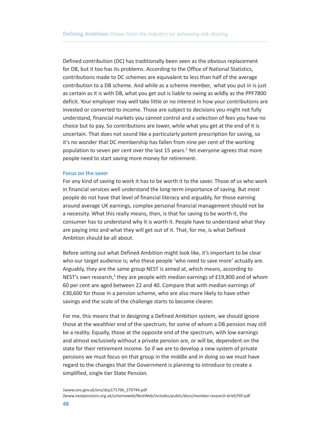Defined contribution (DC) has traditionally been seen as the obvious replacement for DB, but it too has its problems. According to the Office of National Statistics, contributions made to DC schemes are equivalent to less than half of the average contribution to a DB scheme. And while as a scheme member, what you put in is just as certain as it is with DB, what you get out is liable to swing as wildly as the PPF7800 deficit. Your employer may well take little or no interest in how your contributions are invested or converted to income. Those are subject to decisions you might not fully understand, financial markets you cannot control and a selection of fees you have no choice but to pay. So contributions are lower, while what you get at the end of it is uncertain. That does not sound like a particularly potent prescription for saving, so it's no wonder that DC membership has fallen from nine per cent of the working population to seven per cent over the last 15 years. <sup>1</sup> Yet everyone agrees that more people need to start saving more money for retirement.

#### **Focus on the saver**

For any kind of saving to work it has to be worth it to the saver. Those of us who work in financial services well understand the long-term importance of saving. But most people do not have that level of financial literacy and arguably, for those earning around average UK earnings, complex personal financial management should not be a necessity. What this really means, then, is that for saving to be worth it, the consumer has to understand why it is worth it. People have to understand what they are paying into and what they will get out of it. That, for me, is what Defined Ambition should be all about.

Before setting out what Defined Ambition might look like, it's important to be clear who our target audience is; who these people 'who need to save more' actually are. Arguably, they are the same group NEST is aimed at, which means, according to NEST's own research,<sup>2</sup> they are people with median earnings of £19,800 and of whom 60 per cent are aged between 22 and 40. Compare that with median earnings of £30,600 for those in a pension scheme, who are also more likely to have other savings and the scale of the challenge starts to become clearer.

For me, this means that in designing a Defined Ambition system, we should ignore those at the wealthier end of the spectrum, for some of whom a DB pension may still be a reality. Equally, those at the opposite end of the spectrum, with low earnings and almost exclusively without a private pension are, or will be, dependent on the state for their retirement income. So if we are to develop a new system of private pensions we must focus on that group in the middle and in doing so we must have regard to the changes that the Government is planning to introduce to create a simplified, single tier State Pension.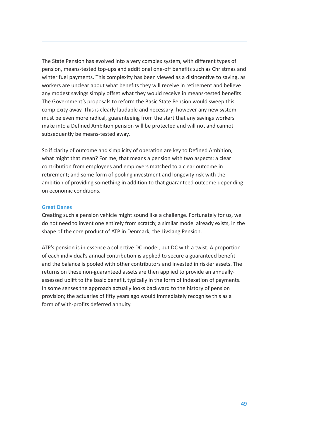The State Pension has evolved into a very complex system, with different types of pension, means-tested top-ups and additional one-off benefits such as Christmas and winter fuel payments. This complexity has been viewed as a disincentive to saving, as workers are unclear about what benefits they will receive in retirement and believe any modest savings simply offset what they would receive in means-tested benefits. The Government's proposals to reform the Basic State Pension would sweep this complexity away. This is clearly laudable and necessary; however any new system must be even more radical, guaranteeing from the start that any savings workers make into a Defined Ambition pension will be protected and will not and cannot subsequently be means-tested away.

So if clarity of outcome and simplicity of operation are key to Defined Ambition, what might that mean? For me, that means a pension with two aspects: a clear contribution from employees and employers matched to a clear outcome in retirement; and some form of pooling investment and longevity risk with the ambition of providing something in addition to that guaranteed outcome depending on economic conditions.

### **Great Danes**

Creating such a pension vehicle might sound like a challenge. Fortunately for us, we do not need to invent one entirely from scratch; a similar model already exists, in the shape of the core product of ATP in Denmark, the Livslang Pension.

ATP's pension is in essence a collective DC model, but DC with a twist. A proportion of each individual's annual contribution is applied to secure a guaranteed benefit and the balance is pooled with other contributors and invested in riskier assets. The returns on these non-guaranteed assets are then applied to provide an annuallyassessed uplift to the basic benefit, typically in the form of indexation of payments. In some senses the approach actually looks backward to the history of pension provision; the actuaries of fifty years ago would immediately recognise this as a form of with-profits deferred annuity.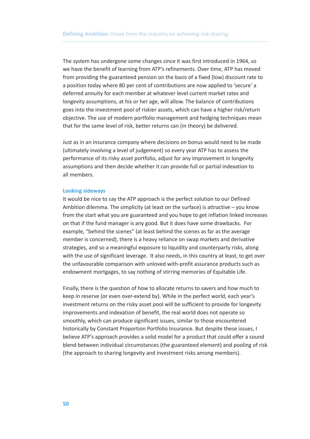The system has undergone some changes since it was first introduced in 1964, so we have the benefit of learning from ATP's refinements. Over time, ATP has moved from providing the guaranteed pension on the basis of a fixed (low) discount rate to a position today where 80 per cent of contributions are now applied to 'secure' a deferred annuity for each member at whatever level current market rates and longevity assumptions, at his or her age, will allow. The balance of contributions goes into the investment pool of riskier assets, which can have a higher risk/return objective. The use of modern portfolio management and hedging techniques mean that for the same level of risk, better returns can (in theory) be delivered.

Just as in an insurance company where decisions on bonus would need to be made (ultimately involving a level of judgement) so every year ATP has to assess the performance of its risky asset portfolio, adjust for any improvement in longevity assumptions and then decide whether it can provide full or partial indexation to all members.

#### **Looking sideways**

It would be nice to say the ATP approach is the perfect solution to our Defined Ambition dilemma. The simplicity (at least on the surface) is attractive – you know from the start what you are guaranteed and you hope to get inflation linked increases on that if the fund manager is any good. But it does have some drawbacks. For example, "behind the scenes" (at least behind the scenes as far as the average member is concerned), there is a heavy reliance on swap markets and derivative strategies, and so a meaningful exposure to liquidity and counterparty risks, along with the use of significant leverage. It also needs, in this country at least, to get over the unfavourable comparison with unloved with-profit assurance products such as endowment mortgages, to say nothing of stirring memories of Equitable Life.

Finally, there is the question of how to allocate returns to savers and how much to keep in reserve (or even over-extend by). While in the perfect world, each year's investment returns on the risky asset pool will be sufficient to provide for longevity improvements and indexation of benefit, the real world does not operate so smoothly, which can produce significant issues, similar to those encountered historically by Constant Proportion Portfolio Insurance. But despite these issues, I believe ATP's approach provides a solid model for a product that could offer a sound blend between individual circumstances (the guaranteed element) and pooling of risk (the approach to sharing longevity and investment risks among members).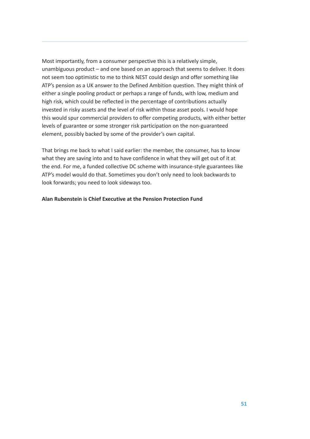Most importantly, from a consumer perspective this is a relatively simple, unambiguous product – and one based on an approach that seems to deliver. It does not seem too optimistic to me to think NEST could design and offer something like ATP's pension as a UK answer to the Defined Ambition question. They might think of either a single pooling product or perhaps a range of funds, with low, medium and high risk, which could be reflected in the percentage of contributions actually invested in risky assets and the level of risk within those asset pools. I would hope this would spur commercial providers to offer competing products, with either better levels of guarantee or some stronger risk participation on the non-guaranteed element, possibly backed by some of the provider's own capital.

That brings me back to what I said earlier: the member, the consumer, has to know what they are saving into and to have confidence in what they will get out of it at the end. For me, a funded collective DC scheme with insurance-style guarantees like ATP's model would do that. Sometimes you don't only need to look backwards to look forwards; you need to look sideways too.

#### **Alan Rubenstein is Chief Executive at the Pension Protection Fund**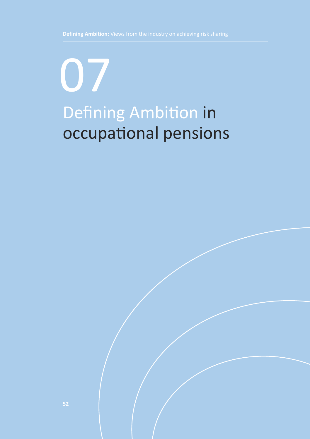# Defining Ambition in occupational pensions 07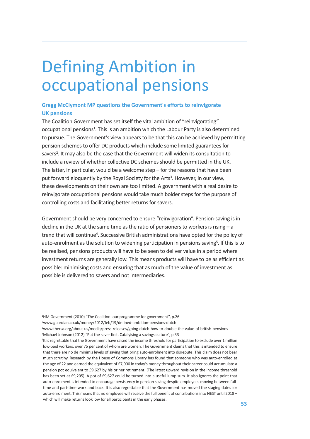# Defining Ambition in occupational pensions

### **Gregg McClymont MP questions the Government's efforts to reinvigorate UK pensions**

The Coalition Government has set itself the vital ambition of "reinvigorating" occupational pensions<sup>1</sup>. This is an ambition which the Labour Party is also determined to pursue. The Government's view appears to be that this can be achieved by permitting pension schemes to offer DC products which include some limited guarantees for savers<sup>2</sup>. It may also be the case that the Government will widen its consultation to include a review of whether collective DC schemes should be permitted in the UK. The latter, in particular, would be a welcome step – for the reasons that have been put forward eloquently by the Royal Society for the Arts<sup>3</sup>. However, in our view, these developments on their own are too limited. A government with a real desire to reinvigorate occupational pensions would take much bolder steps for the purpose of controlling costs and facilitating better returns for savers.

Government should be very concerned to ensure "reinvigoration". Pension-saving is in decline in the UK at the same time as the ratio of pensioners to workers is rising – a trend that will continue<sup>4</sup>. Successive British administrations have opted for the policy of auto-enrolment as the solution to widening participation in pensions saving<sup>5</sup>. If this is to be realised, pensions products will have to be seen to deliver value in a period where investment returns are generally low. This means products will have to be as efficient as possible: minimising costs and ensuring that as much of the value of investment as possible is delivered to savers and not intermediaries.

<sup>1</sup>HM Government (2010) "The Coalition: our programme for government", p.26

2 www.guardian.co.uk/money/2012/feb/19/defined-ambition-pensions-dutch

3 www.thersa.org/about-us/media/press-releases/going-dutch-how-to-double-the-value-of-british-pensions 4 Michael Johnson (2012) "Put the saver first. Catalyising a savings culture", p.33

<sup>&</sup>lt;sup>5</sup>It is regrettable that the Government have raised the income threshold for participation to exclude over 1 million low-paid workers, over 75 per cent of whom are women. The Government claims that this is intended to ensure that there are no de minimis levels of saving that bring auto-enrolment into disrepute. This claim does not bear much scrutiny. Research by the House of Commons Library has found that someone who was auto-enrolled at the age of 22 and earned the equivalent of £7,000 in today's money throughout their career could accumulate a pension pot equivalent to £9,627 by his or her retirement. (The latest upward revision in the income threshold has been set at £9,205). A pot of £9,627 could be turned into a useful lump sum. It also ignores the point that auto-enrolment is intended to encourage persistency in pension saving despite employees moving between fulltime and part-time work and back. It is also regrettable that the Government has moved the staging dates for auto-enrolment. This means that no employee will receive the full benefit of contributions into NEST until 2018 – which will make returns look low for all participants in the early phases.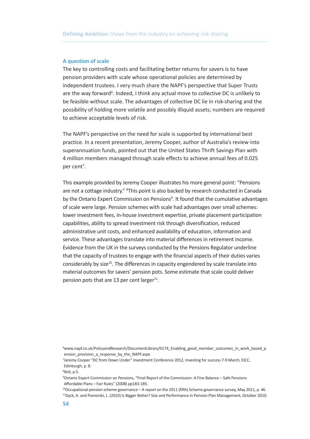#### **A question of scale**

The key to controlling costs and facilitating better returns for savers is to have pension providers with scale whose operational policies are determined by independent trustees. I very much share the NAPF's perspective that Super Trusts are the way forward<sup>6</sup>. Indeed, I think any actual move to collective DC is unlikely to be feasible without scale. The advantages of collective DC lie in risk-sharing and the possibility of holding more volatile and possibly illiquid assets; numbers are required to achieve acceptable levels of risk.

The NAPF's perspective on the need for scale is supported by international best practice. In a recent presentation, Jeremy Cooper, author of Australia's review into superannuation funds, pointed out that the United States Thrift Savings Plan with 4 million members managed through scale effects to achieve annual fees of 0.025 per cent<sup>7</sup>.

This example provided by Jeremy Cooper illustrates his more general point: "Pensions are not a cottage industry." <sup>8</sup>This point is also backed by research conducted in Canada by the Ontario Expert Commission on Pensions<sup>9</sup>. It found that the cumulative advantages of scale were large. Pension schemes with scale had advantages over small schemes: lower investment fees, in-house investment expertise, private placement participation capabilities, ability to spread investment risk through diversification, reduced administrative unit costs, and enhanced availability of education, information and service. These advantages translate into material differences in retirement income. Evidence from the UK in the surveys conducted by the Pensions Regulator underline that the capacity of trustees to engage with the financial aspects of their duties varies considerably by size<sup>10</sup>. The differences in capacity engendered by scale translate into material outcomes for savers' pension pots. Some estimate that scale could deliver pension pots that are 13 per cent larger<sup>11</sup>.

<sup>6</sup> www.napf.co.uk/PolicyandResearch/DocumentLibrary/0174\_Enabling\_good\_member\_outcomes\_in\_work\_based\_p ension\_provision\_a\_response\_by\_the\_NAPF.aspx

<sup>7</sup> Jeremy Cooper "DC from Down Under" Investment Conference 2012, Investing for success 7-9 March, EICC, Edinburgh, p. 8.

<sup>8</sup> Ibid, p.5.

<sup>9</sup> Ontario Expert Commission on Pensions, "Final Report of the Commission: A Fine Balance – Safe Pensions Affordable Plans – Fair Rules" (2008) pp183-185.

<sup>10</sup> Occupational pension scheme governance – A report on the 2011 (fifth) Scheme governance survey, May 2011, p. 46. 11 Dyck, A. and Pomorski, L. (2010) Is Bigger Better? Size and Performance in Pension Plan Management, October 2010.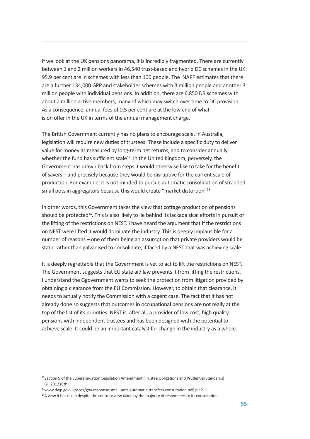If we look at the UK pensions panorama, it is incredibly fragmented. There are currently between 1 and 2 million workers in 46,540 trust-based and hybrid DC schemes in the UK. 95.9 per cent are in schemes with less than 100 people. The NAPF estimates that there are a further 134,000 GPP and stakeholder schemes with 3 million people and another 3 million people with individual pensions. In addition, there are 6,850 DB schemes with about a million active members, many of which may switch over time to DC provision. As a consequence, annual fees of 0.5 per cent are at the low end of what is on offer in the UK in terms of the annual management charge.

The British Government currently has no plans to encourage scale. In Australia, legislation will require new duties of trustees. These include a specific duty to deliver value for money as measured by long-term net returns, and to consider annually whether the fund has sufficient scale<sup>12</sup>. In the United Kingdom, perversely, the Government has drawn back from steps it would otherwise like to take for the benefit of savers – and precisely because they would be disruptive for the current scale of production. For example, it is not minded to pursue automatic consolidation of stranded small pots in aggregators because this would create "market distortion"13 .

In other words, this Government takes the view that cottage production of pensions should be protected<sup>14</sup>. This is also likely to lie behind its lackadaisical efforts in pursuit of the lifting of the restrictions on NEST. I have heard the argument that if the restrictions on NEST were lifted it would dominate the industry. This is deeply implausible for a number of reasons – one of them being an assumption that private providers would be static rather than galvanised to consolidate, if faced by a NEST that was achieving scale.

It is deeply regrettable that the Government is yet to act to lift the restrictions on NEST. The Government suggests that EU state aid law prevents it from lifting the restrictions. I understand the Ggovernment wants to seek the protection from litigation provided by obtaining a clearance from the EU Commission. However, to obtain that clearance, it needs to actually notify the Commission with a cogent case. The fact that it has not already done so suggests that outcomes in occupational pensions are not really at the top of the list of its priorities. NEST is, after all, a provider of low cost, high quality pensions with independent trustees and has been designed with the potential to achieve scale. It could be an important catalyst for change in the industry as a whole.

<sup>&</sup>lt;sup>12</sup>Section 9 of the Superannuation Legislation Amendment (Trustee Obligations and Prudential Standards) Bill 2012 (Cth)

<sup>&</sup>lt;sup>13</sup>www.dwp.gov.uk/docs/gov-response-small-pots-automatic-transfers-consultation.pdf, p.12.

<sup>&</sup>lt;sup>14</sup>A view it has taken despite the contrary view taken by the majority of respondees to its consultation.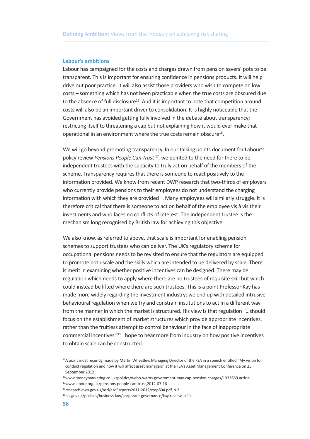#### **Labour's ambitions**

Labour has campaigned for the costs and charges drawn from pension savers' pots to be transparent. This is important for ensuring confidence in pensions products. It will help drive out poor practice. It will also assist those providers who wish to compete on low costs – something which has not been practicable when the true costs are obscured due to the absence of full disclosure<sup>15</sup>. And it is important to note that competition around costs will also be an important driver to consolidation. It is highly noticeable that the Government has avoided getting fully involved in the debate about transparency; restricting itself to threatening a cap but not explaining how it would ever make that operational in an environment where the true costs remain obscure<sup>16</sup>.

We will go beyond promoting transparency. In our talking points document for Labour's policy review *Pensions People Can Trust* <sup>17</sup> *,* we pointed to the need for there to be independent trustees with the capacity to truly act on behalf of the members of the scheme. Transparency requires that there is someone to react positively to the information provided. We know from recent DWP research that two-thirds of employers who currently provide pensions to their employees do not understand the charging information with which they are provided<sup>18</sup>. Many employees will similarly struggle. It is therefore critical that there is someone to act on behalf of the employee vis à vis their investments and who faces no conflicts of interest. The independent trustee is the mechanism long recognised by British law for achieving this objective.

We also know, as referred to above, that scale is important for enabling pension schemes to support trustees who can deliver. The UK's regulatory scheme for occupational pensions needs to be revisited to ensure that the regulators are equipped to promote both scale and the skills which are intended to be delivered by scale. There is merit in examining whether positive incentives can be designed. There may be regulation which needs to apply where there are no trustees of requisite skill but which could instead be lifted where there are such trustees. This is a point Professor Kay has made more widely regarding the investment industry: we end up with detailed intrusive behavioural regulation when we try and constrain institutions to act in a different way from the manner in which the market is structured. His view is that regulation "…should focus on the establishment of market structures which provide appropriate incentives, rather than the fruitless attempt to control behaviour in the face of inappropriate commercial incentives."19 I hope to hear more from industry on how positive incentives to obtain scale can be constructed.

<sup>&</sup>lt;sup>15</sup>A point most recently made by Martin Wheatley, Managing Director of the FSA in a speech entitled "My vision for conduct regulation and how it will affect asset managers" at the FSA's Asset Management Conference on 25 Sentember 2012

<sup>16</sup> www.moneymarketing.co.uk/politics/webb-warns-government-may-cap-pension-charges/1033669.article 17 www.labour.org.uk/pensions-people-can-trust,2012-07-16

<sup>18</sup>research.dwp.gov.uk/asd/asd5/rports2011-2012/rrep804.pdf, p.2.

<sup>&</sup>lt;sup>19</sup>bis.gov.uk/policies/business-law/corporate-governance/kay-review, p.11.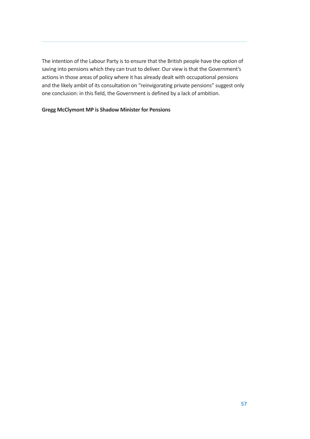The intention of the Labour Party is to ensure that the British people have the option of saving into pensions which they can trust to deliver. Our view is that the Government's actions in those areas of policy where it has already dealt with occupational pensions and the likely ambit of its consultation on "reinvigorating private pensions" suggest only one conclusion: in this field, the Government is defined by a lack of ambition.

## **Gregg McClymont MP is Shadow Minister for Pensions**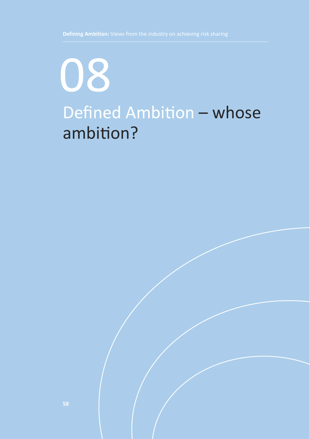# Defined Ambition – whose ambition? 08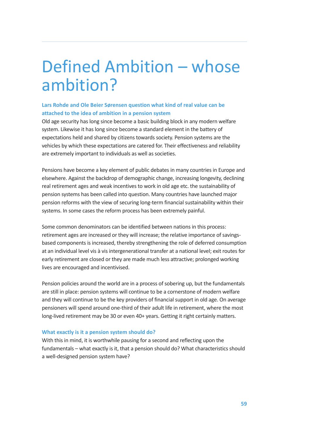## Defined Ambition – whose ambition?

### **Lars Rohde and Ole Beier Sørensen question what kind of real value can be attached to the idea of ambition in a pension system**

Old age security has long since become a basic building block in any modern welfare system. Likewise it has long since become a standard element in the battery of expectations held and shared by citizens towards society. Pension systems are the vehicles by which these expectations are catered for. Their effectiveness and reliability are extremely important to individuals as well as societies.

Pensions have become a key element of public debates in many countries in Europe and elsewhere. Against the backdrop of demographic change, increasing longevity, declining real retirement ages and weak incentives to work in old age etc. the sustainability of pension systems has been called into question. Many countries have launched major pension reforms with the view of securing long-term financial sustainability within their systems. In some cases the reform process has been extremely painful.

Some common denominators can be identified between nations in this process: retirement ages are increased or they will increase; the relative importance of savingsbased components is increased, thereby strengthening the role of deferred consumption at an individual level vis à vis intergenerational transfer at a national level; exit routes for early retirement are closed or they are made much less attractive; prolonged working lives are encouraged and incentivised.

Pension policies around the world are in a process of sobering up, but the fundamentals are still in place: pension systems will continue to be a cornerstone of modern welfare and they will continue to be the key providers of financial support in old age. On average pensioners will spend around one-third of their adult life in retirement, where the most long-lived retirement may be 30 or even 40+ years. Getting it right certainly matters.

#### **What exactly is it a pension system should do?**

With this in mind, it is worthwhile pausing for a second and reflecting upon the fundamentals – what exactly is it, that a pension should do? What characteristics should a well-designed pension system have?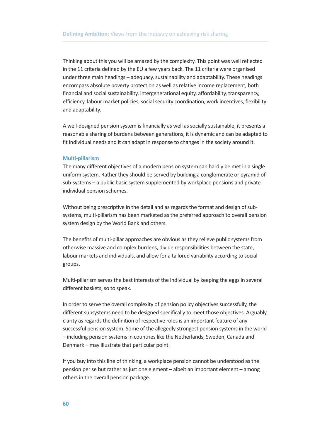Thinking about this you will be amazed by the complexity. This point was well reflected in the 11 criteria defined by the EU a few years back. The 11 criteria were organised under three main headings – adequacy, sustainability and adaptability. These headings encompass absolute poverty protection as well as relative income replacement, both financial and social sustainability, intergenerational equity, affordability, transparency, efficiency, labour market policies, social security coordination, work incentives, flexibility and adaptability.

A well-designed pension system is financially as well as socially sustainable, it presents a reasonable sharing of burdens between generations, it is dynamic and can be adapted to fit individual needs and it can adapt in response to changes in the society around it.

#### **Multi-pillarism**

The many different objectives of a modern pension system can hardly be met in a single uniform system. Rather they should be served by building a conglomerate or pyramid of sub-systems – a public basic system supplemented by workplace pensions and private individual pension schemes.

Without being prescriptive in the detail and as regards the format and design of subsystems, multi-pillarism has been marketed as the preferred approach to overall pension system design by the World Bank and others.

The benefits of multi-pillar approaches are obvious as they relieve public systems from otherwise massive and complex burdens, divide responsibilities between the state, labour markets and individuals, and allow for a tailored variability according to social groups.

Multi-pillarism serves the best interests of the individual by keeping the eggs in several different baskets, so to speak.

In order to serve the overall complexity of pension policy objectives successfully, the different subsystems need to be designed specifically to meet those objectives. Arguably, clarity as regards the definition of respective roles is an important feature of any successful pension system. Some of the allegedly strongest pension systems in the world – including pension systems in countries like the Netherlands, Sweden, Canada and Denmark – may illustrate that particular point.

If you buy into this line of thinking, a workplace pension cannot be understood as the pension per se but rather as just one element – albeit an important element – among others in the overall pension package.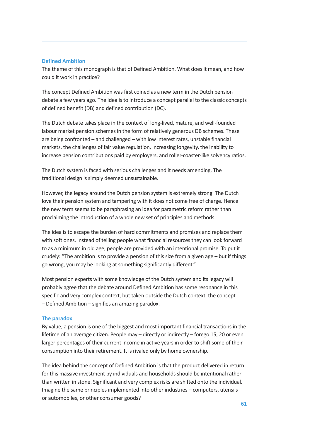### **Defined Ambition**

The theme of this monograph is that of Defined Ambition. What does it mean, and how could it work in practice?

The concept Defined Ambition was first coined as a new term in the Dutch pension debate a few years ago. The idea is to introduce a concept parallel to the classic concepts of defined benefit (DB) and defined contribution (DC).

The Dutch debate takes place in the context of long-lived, mature, and well-founded labour market pension schemes in the form of relatively generous DB schemes. These are being confronted – and challenged – with low interest rates, unstable financial markets, the challenges of fair value regulation, increasing longevity, the inability to increase pension contributions paid by employers, and roller-coaster-like solvency ratios.

The Dutch system is faced with serious challenges and it needs amending. The traditional design is simply deemed unsustainable.

However, the legacy around the Dutch pension system is extremely strong. The Dutch love their pension system and tampering with it does not come free of charge. Hence the new term seems to be paraphrasing an idea for parametric reform rather than proclaiming the introduction of a whole new set of principles and methods.

The idea is to escape the burden of hard commitments and promises and replace them with soft ones. Instead of telling people what financial resources they can look forward to as a minimum in old age, people are provided with an intentional promise. To put it crudely: "The ambition is to provide a pension of this size from a given age – but if things go wrong, you may be looking at something significantly different."

Most pension experts with some knowledge of the Dutch system and its legacy will probably agree that the debate around Defined Ambition has some resonance in this specific and very complex context, but taken outside the Dutch context, the concept – Defined Ambition – signifies an amazing paradox.

#### **The paradox**

By value, a pension is one of the biggest and most important financial transactions in the lifetime of an average citizen. People may – directly or indirectly – forego 15, 20 or even larger percentages of their current income in active years in order to shift some of their consumption into their retirement. It is rivaled only by home ownership.

The idea behind the concept of Defined Ambition is that the product delivered in return for this massive investment by individuals and households should be intentional rather than written in stone. Significant and very complex risks are shifted onto the individual. Imagine the same principles implemented into other industries – computers, utensils or automobiles, or other consumer goods?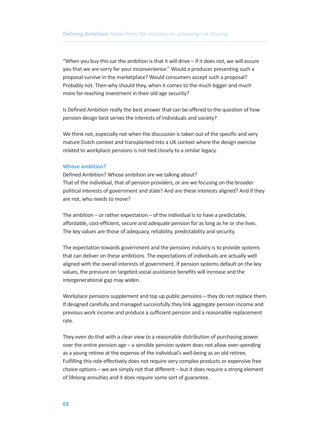"When you buy this car the ambition is that it will drive – if it does not, we will assure you that we are sorry for your inconvenience." Would a producer presenting such a proposal survive in the marketplace? Would consumers accept such a proposal? Probably not. Then why should they, when it comes to the much bigger and much more far-reaching investment in their old age security?

Is Defined Ambition really the best answer that can be offered to the question of how pension design best serves the interests of individuals and society?

We think not, especially not when the discussion is taken out of the specific and very mature Dutch context and transplanted into a UK context where the design exercise related to workplace pensions is not tied closely to a similar legacy.

#### **Whose ambition?**

Defined Ambition? Whose ambition are we talking about? That of the individual, that of pension providers, or are we focusing on the broader political interests of government and state? And are these interests aligned? And if they are not, who needs to move?

The ambition – or rather expectation – of the individual is to have a predictable, affordable, cost-efficient, secure and adequate pension for as long as he or she lives. The key values are those of adequacy, reliability, predictability and security.

The expectation towards government and the pensions industry is to provide systems that can deliver on these ambitions. The expectations of individuals are actually well aligned with the overall interests of government. If pension systems default on the key values, the pressure on targeted social assistance benefits will increase and the intergenerational gap may widen.

Workplace pensions supplement and top up public pensions – they do not replace them. If designed carefully and managed successfully they link aggregate pension income and previous work income and produce a sufficient pension and a reasonable replacement rate.

They even do that with a clear view to a reasonable distribution of purchasing power over the entire pension age – a sensible pension system does not allow over-spending as a young retiree at the expense of the individual's well-being as an old retiree. Fulfilling this role effectively does not require very complex products or expensive free choice options – we are simply not that different – but it does require a strong element of lifelong annuities and it does require some sort of guarantee.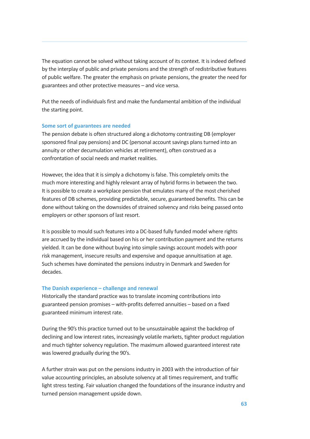The equation cannot be solved without taking account of its context. It is indeed defined by the interplay of public and private pensions and the strength of redistributive features of public welfare. The greater the emphasis on private pensions, the greater the need for guarantees and other protective measures – and vice versa.

Put the needs of individuals first and make the fundamental ambition of the individual the starting point.

#### **Some sort of guarantees are needed**

The pension debate is often structured along a dichotomy contrasting DB (employer sponsored final pay pensions) and DC (personal account savings plans turned into an annuity or other decumulation vehicles at retirement), often construed as a confrontation of social needs and market realities.

However, the idea that it is simply a dichotomy is false. This completely omits the much more interesting and highly relevant array of hybrid forms in between the two. It is possible to create a workplace pension that emulates many of the most cherished features of DB schemes, providing predictable, secure, guaranteed benefits. This can be done without taking on the downsides of strained solvency and risks being passed onto employers or other sponsors of last resort.

It is possible to mould such features into a DC-based fully funded model where rights are accrued by the individual based on his or her contribution payment and the returns yielded. It can be done without buying into simple savings account models with poor risk management, insecure results and expensive and opaque annuitisation at age. Such schemes have dominated the pensions industry in Denmark and Sweden for decades.

#### **The Danish experience – challenge and renewal**

Historically the standard practice was to translate incoming contributions into guaranteed pension promises – with-profits deferred annuities – based on a fixed guaranteed minimum interest rate.

During the 90's this practice turned out to be unsustainable against the backdrop of declining and low interest rates, increasingly volatile markets, tighter product regulation and much tighter solvency regulation. The maximum allowed guaranteed interest rate was lowered gradually during the 90's.

A further strain was put on the pensions industry in 2003 with the introduction of fair value accounting principles, an absolute solvency at all times requirement, and traffic light stress testing. Fair valuation changed the foundations of the insurance industry and turned pension management upside down.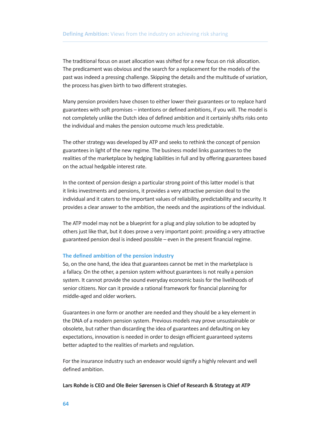The traditional focus on asset allocation was shifted for a new focus on risk allocation. The predicament was obvious and the search for a replacement for the models of the past was indeed a pressing challenge. Skipping the details and the multitude of variation, the process has given birth to two different strategies.

Many pension providers have chosen to either lower their guarantees or to replace hard guarantees with soft promises – intentions or defined ambitions, if you will. The model is not completely unlike the Dutch idea of defined ambition and it certainly shifts risks onto the individual and makes the pension outcome much less predictable.

The other strategy was developed by ATP and seeks to rethink the concept of pension guarantees in light of the new regime. The business model links guarantees to the realities of the marketplace by hedging liabilities in full and by offering guarantees based on the actual hedgable interest rate.

In the context of pension design a particular strong point of this latter model is that it links investments and pensions, it provides a very attractive pension deal to the individual and it caters to the important values of reliability, predictability and security. It provides a clear answer to the ambition, the needs and the aspirations of the individual.

The ATP model may not be a blueprint for a plug and play solution to be adopted by others just like that, but it does prove a very important point: providing a very attractive guaranteed pension deal is indeed possible – even in the present financial regime.

#### **The defined ambition of the pension industry**

So, on the one hand, the idea that guarantees cannot be met in the marketplace is a fallacy. On the other, a pension system without guarantees is not really a pension system. It cannot provide the sound everyday economic basis for the livelihoods of senior citizens. Nor can it provide a rational framework for financial planning for middle-aged and older workers.

Guarantees in one form or another are needed and they should be a key element in the DNA of a modern pension system. Previous models may prove unsustainable or obsolete, but rather than discarding the idea of guarantees and defaulting on key expectations, innovation is needed in order to design efficient guaranteed systems better adapted to the realities of markets and regulation.

For the insurance industry such an endeavor would signify a highly relevant and well defined ambition.

**Lars Rohde is CEO and Ole Beier Sørensen is Chief of Research & Strategy at ATP**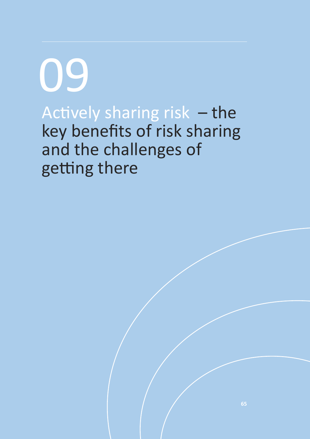Actively sharing risk – the key benefits of risk sharing and the challenges of getting there 09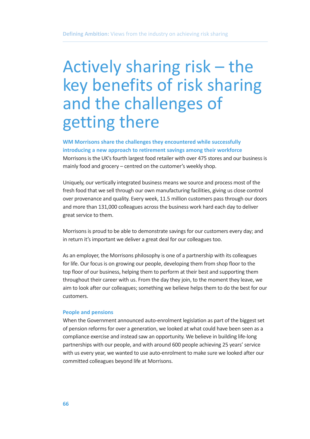# Actively sharing risk – the key benefits of risk sharing and the challenges of getting there

**WM Morrisons share the challenges they encountered while successfully introducing a new approach to retirement savings among their workforce**

Morrisons is the UK's fourth largest food retailer with over 475 stores and our business is mainly food and grocery – centred on the customer's weekly shop.

Uniquely, our vertically integrated business means we source and process most of the fresh food that we sell through our own manufacturing facilities, giving us close control over provenance and quality. Every week, 11.5 million customers pass through our doors and more than 131,000 colleagues across the business work hard each day to deliver great service to them.

Morrisons is proud to be able to demonstrate savings for our customers every day; and in return it's important we deliver a great deal for our colleagues too.

As an employer, the Morrisons philosophy is one of a partnership with its colleagues for life. Our focus is on growing our people, developing them from shop floor to the top floor of our business, helping them to perform at their best and supporting them throughout their career with us. From the day they join, to the moment they leave, we aim to look after our colleagues; something we believe helps them to do the best for our customers.

#### **People and pensions**

When the Government announced auto-enrolment legislation as part of the biggest set of pension reforms for over a generation, we looked at what could have been seen as a compliance exercise and instead saw an opportunity. We believe in building life-long partnerships with our people, and with around 600 people achieving 25 years' service with us every year, we wanted to use auto-enrolment to make sure we looked after our committed colleagues beyond life at Morrisons.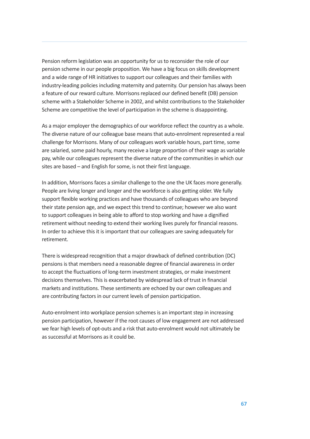Pension reform legislation was an opportunity for us to reconsider the role of our pension scheme in our people proposition. We have a big focus on skills development and a wide range of HR initiatives to support our colleagues and their families with industry-leading policies including maternity and paternity. Our pension has always been a feature of our reward culture. Morrisons replaced our defined benefit (DB) pension scheme with a Stakeholder Scheme in 2002, and whilst contributions to the Stakeholder Scheme are competitive the level of participation in the scheme is disappointing.

As a major employer the demographics of our workforce reflect the country as a whole. The diverse nature of our colleague base means that auto-enrolment represented a real challenge for Morrisons. Many of our colleagues work variable hours, part time, some are salaried, some paid hourly, many receive a large proportion of their wage as variable pay, while our colleagues represent the diverse nature of the communities in which our sites are based – and English for some, is not their first language.

In addition, Morrisons faces a similar challenge to the one the UK faces more generally. People are living longer and longer and the workforce is also getting older. We fully support flexible working practices and have thousands of colleagues who are beyond their state pension age, and we expect this trend to continue; however we also want to support colleagues in being able to afford to stop working and have a dignified retirement without needing to extend their working lives purely for financial reasons. In order to achieve this it is important that our colleagues are saving adequately for retirement.

There is widespread recognition that a major drawback of defined contribution (DC) pensions is that members need a reasonable degree of financial awareness in order to accept the fluctuations of long-term investment strategies, or make investment decisions themselves. This is exacerbated by widespread lack of trust in financial markets and institutions. These sentiments are echoed by our own colleagues and are contributing factors in our current levels of pension participation.

Auto-enrolment into workplace pension schemes is an important step in increasing pension participation, however if the root causes of low engagement are not addressed we fear high levels of opt-outs and a risk that auto-enrolment would not ultimately be as successful at Morrisons as it could be.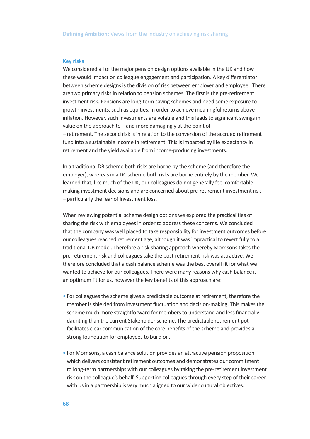#### **Key risks**

We considered all of the major pension design options available in the UK and how these would impact on colleague engagement and participation. A key differentiator between scheme designs is the division of risk between employer and employee. There are two primary risks in relation to pension schemes. The first is the pre-retirement investment risk. Pensions are long-term saving schemes and need some exposure to growth investments, such as equities, in order to achieve meaningful returns above inflation. However, such investments are volatile and this leads to significant swings in value on the approach to – and more damagingly at the point of – retirement. The second risk is in relation to the conversion of the accrued retirement fund into a sustainable income in retirement. This is impacted by life expectancy in retirement and the yield available from income-producing investments.

In a traditional DB scheme both risks are borne by the scheme (and therefore the employer), whereas in a DC scheme both risks are borne entirely by the member. We learned that, like much of the UK, our colleagues do not generally feel comfortable making investment decisions and are concerned about pre-retirement investment risk – particularly the fear of investment loss.

When reviewing potential scheme design options we explored the practicalities of sharing the risk with employees in order to address these concerns. We concluded that the company was well placed to take responsibility for investment outcomes before our colleagues reached retirement age, although it was impractical to revert fully to a traditional DB model. Therefore a risk-sharing approach whereby Morrisons takes the pre-retirement risk and colleagues take the post-retirement risk was attractive. We therefore concluded that a cash balance scheme was the best overall fit for what we wanted to achieve for our colleagues. There were many reasons why cash balance is an optimum fit for us, however the key benefits of this approach are:

- For colleagues the scheme gives a predictable outcome at retirement, therefore the member is shielded from investment fluctuation and decision-making. This makes the scheme much more straightforward for members to understand and less financially daunting than the current Stakeholder scheme. The predictable retirement pot facilitates clear communication of the core benefits of the scheme and provides a strong foundation for employees to build on.
- For Morrisons, a cash balance solution provides an attractive pension proposition which delivers consistent retirement outcomes and demonstrates our commitment to long-term partnerships with our colleagues by taking the pre-retirement investment risk on the colleague's behalf. Supporting colleagues through every step of their career with us in a partnership is very much aligned to our wider cultural objectives.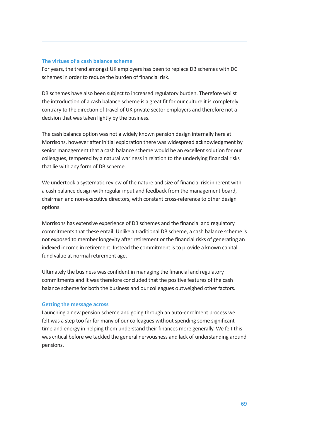### **The virtues of a cash balance scheme**

For years, the trend amongst UK employers has been to replace DB schemes with DC schemes in order to reduce the burden of financial risk.

DB schemes have also been subject to increased regulatory burden. Therefore whilst the introduction of a cash balance scheme is a great fit for our culture it is completely contrary to the direction of travel of UK private sector employers and therefore not a decision that was taken lightly by the business.

The cash balance option was not a widely known pension design internally here at Morrisons, however after initial exploration there was widespread acknowledgment by senior management that a cash balance scheme would be an excellent solution for our colleagues, tempered by a natural wariness in relation to the underlying financial risks that lie with any form of DB scheme.

We undertook a systematic review of the nature and size of financial risk inherent with a cash balance design with regular input and feedback from the management board, chairman and non-executive directors, with constant cross-reference to other design options.

Morrisons has extensive experience of DB schemes and the financial and regulatory commitments that these entail. Unlike a traditional DB scheme, a cash balance scheme is not exposed to member longevity after retirement or the financial risks of generating an indexed income in retirement. Instead the commitment is to provide a known capital fund value at normal retirement age.

Ultimately the business was confident in managing the financial and regulatory commitments and it was therefore concluded that the positive features of the cash balance scheme for both the business and our colleagues outweighed other factors.

#### **Getting the message across**

Launching a new pension scheme and going through an auto-enrolment process we felt was a step too far for many of our colleagues without spending some significant time and energy in helping them understand their finances more generally. We felt this was critical before we tackled the general nervousness and lack of understanding around pensions.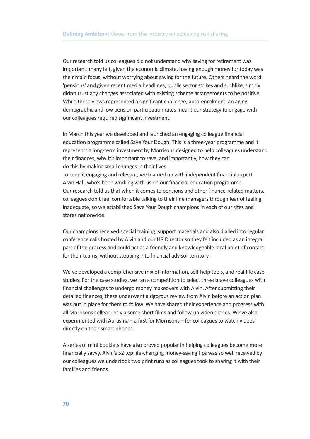Our research told us colleagues did not understand why saving for retirement was important: many felt, given the economic climate, having enough money for today was their main focus, without worrying about saving for the future. Others heard the word 'pensions' and given recent media headlines, public sector strikes and suchlike, simply didn't trust any changes associated with existing scheme arrangements to be positive. While these views represented a significant challenge, auto-enrolment, an aging demographic and low pension participation rates meant our strategy to engage with our colleagues required significant investment.

In March this year we developed and launched an engaging colleague financial education programme called Save Your Dough. This is a three-year programme and it represents a long-term investment by Morrisons designed to help colleagues understand their finances, why it's important to save, and importantly, how they can do this by making small changes in their lives.

To keep it engaging and relevant, we teamed up with independent financial expert Alvin Hall, who's been working with us on our financial education programme. Our research told us that when it comes to pensions and other finance-related matters, colleagues don't feel comfortable talking to their line managers through fear of feeling inadequate, so we established Save Your Dough champions in each of our sites and stores nationwide.

Our champions received special training, support materials and also dialled into regular conference calls hosted by Alvin and our HR Director so they felt included as an integral part of the process and could act as a friendly and knowledgeable local point of contact for their teams, without stepping into financial advisor territory.

We've developed a comprehensive mix of information, self-help tools, and real-life case studies. For the case studies, we ran a competition to select three brave colleagues with financial challenges to undergo money makeovers with Alvin. After submitting their detailed finances, these underwent a rigorous review from Alvin before an action plan was put in place for them to follow. We have shared their experience and progress with all Morrisons colleagues via some short films and follow-up video diaries. We've also experimented with Aurasma – a first for Morrisons – for colleagues to watch videos directly on their smart phones.

A series of mini booklets have also proved popular in helping colleagues become more financially savvy. Alvin's 52 top life-changing money-saving tips was so well received by our colleagues we undertook two print runs as colleagues took to sharing it with their families and friends.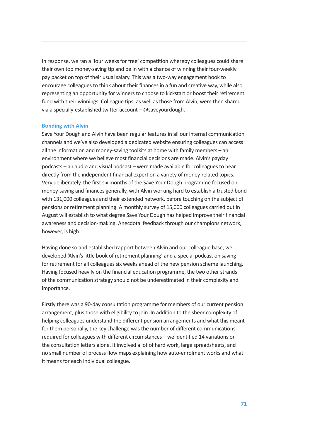In response, we ran a 'four weeks for free' competition whereby colleagues could share their own top money-saving tip and be in with a chance of winning their four-weekly pay packet on top of their usual salary. This was a two-way engagement hook to encourage colleagues to think about their finances in a fun and creative way, while also representing an opportunity for winners to choose to kickstart or boost their retirement fund with their winnings. Colleague tips, as well as those from Alvin, were then shared via a specially-established twitter account – @saveyourdough.

## **Bonding with Alvin**

Save Your Dough and Alvin have been regular features in all our internal communication channels and we've also developed a dedicated website ensuring colleagues can access all the information and money-saving toolkits at home with family members – an environment where we believe most financial decisions are made. Alvin's payday podcasts – an audio and visual podcast – were made available for colleagues to hear directly from the independent financial expert on a variety of money-related topics. Very deliberately, the first six months of the Save Your Dough programme focused on money-saving and finances generally, with Alvin working hard to establish a trusted bond with 131,000 colleagues and their extended network, before touching on the subject of pensions or retirement planning. A monthly survey of 15,000 colleagues carried out in August will establish to what degree Save Your Dough has helped improve their financial awareness and decision-making. Anecdotal feedback through our champions network, however, is high.

Having done so and established rapport between Alvin and our colleague base, we developed 'Alvin's little book of retirement planning' and a special podcast on saving for retirement for all colleagues six weeks ahead of the new pension scheme launching. Having focused heavily on the financial education programme, the two other strands of the communication strategy should not be underestimated in their complexity and importance.

Firstly there was a 90-day consultation programme for members of our current pension arrangement, plus those with eligibility to join. In addition to the sheer complexity of helping colleagues understand the different pension arrangements and what this meant for them personally, the key challenge was the number of different communications required for colleagues with different circumstances – we identified 14 variations on the consultation letters alone. It involved a lot of hard work, large spreadsheets, and no small number of process flow maps explaining how auto-enrolment works and what it means for each individual colleague.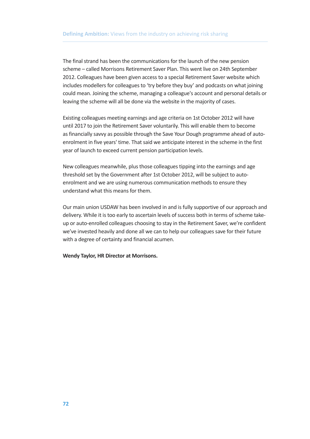The final strand has been the communications for the launch of the new pension scheme – called Morrisons Retirement Saver Plan. This went live on 24th September 2012. Colleagues have been given access to a special Retirement Saver website which includes modellers for colleagues to 'try before they buy' and podcasts on what joining could mean. Joining the scheme, managing a colleague's account and personal details or leaving the scheme will all be done via the website in the majority of cases.

Existing colleagues meeting earnings and age criteria on 1st October 2012 will have until 2017 to join the Retirement Saver voluntarily. This will enable them to become as financially savvy as possible through the Save Your Dough programme ahead of autoenrolment in five years' time. That said we anticipate interest in the scheme in the first year of launch to exceed current pension participation levels.

New colleagues meanwhile, plus those colleagues tipping into the earnings and age threshold set by the Government after 1st October 2012, will be subject to autoenrolment and we are using numerous communication methods to ensure they understand what this means for them.

Our main union USDAW has been involved in and is fully supportive of our approach and delivery. While it is too early to ascertain levels of success both in terms of scheme takeup or auto-enrolled colleagues choosing to stay in the Retirement Saver, we're confident we've invested heavily and done all we can to help our colleagues save for their future with a degree of certainty and financial acumen.

**Wendy Taylor, HR Director at Morrisons.**